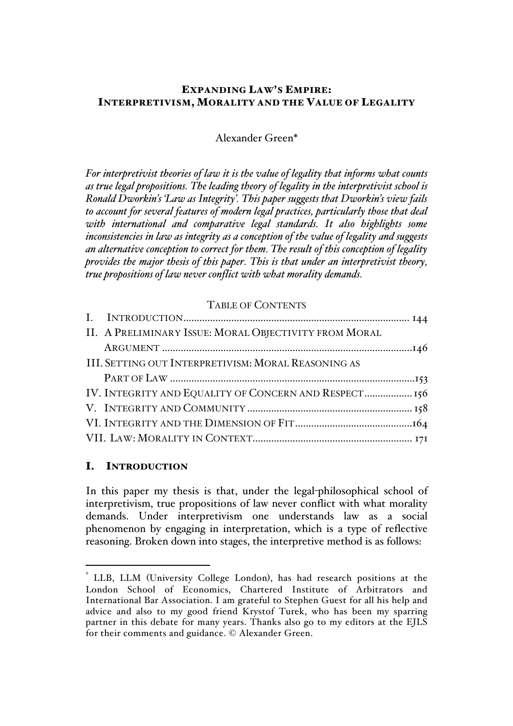# EXPANDING LAW'S EMPIRE: INTERPRETIVISM, MORALITY AND THE VALUE OF LEGALITY

# Alexander Green\*

*For interpretivist theories of law it is the value of legality that informs what counts as true legal propositions. The leading theory of legality in the interpretivist school is Ronald Dworkin's 'Law as Integrity'. This paper suggests that Dworkin's view fails to account for several features of modern legal practices, particularly those that deal with international and comparative legal standards. It also highlights some inconsistencies in law as integrity as a conception of the value of legality and suggests an alternative conception to correct for them. The result of this conception of legality provides the major thesis of this paper. This is that under an interpretivist theory, true propositions of law never conflict with what morality demands.*

## TABLE OF CONTENTS

| II. A PRELIMINARY ISSUE: MORAL OBJECTIVITY FROM MORAL      |  |
|------------------------------------------------------------|--|
|                                                            |  |
| <b>III. SETTING OUT INTERPRETIVISM: MORAL REASONING AS</b> |  |
|                                                            |  |
| IV. INTEGRITY AND EQUALITY OF CONCERN AND RESPECT 156      |  |
|                                                            |  |
|                                                            |  |
|                                                            |  |

## I. INTRODUCTION

 $\overline{a}$ 

In this paper my thesis is that, under the legal-philosophical school of interpretivism, true propositions of law never conflict with what morality demands. Under interpretivism one understands law as a social phenomenon by engaging in interpretation, which is a type of reflective reasoning. Broken down into stages, the interpretive method is as follows:

LLB, LLM (University College London), has had research positions at the London School of Economics, Chartered Institute of Arbitrators and International Bar Association. I am grateful to Stephen Guest for all his help and advice and also to my good friend Krystof Turek, who has been my sparring partner in this debate for many years. Thanks also go to my editors at the EJLS for their comments and guidance. © Alexander Green.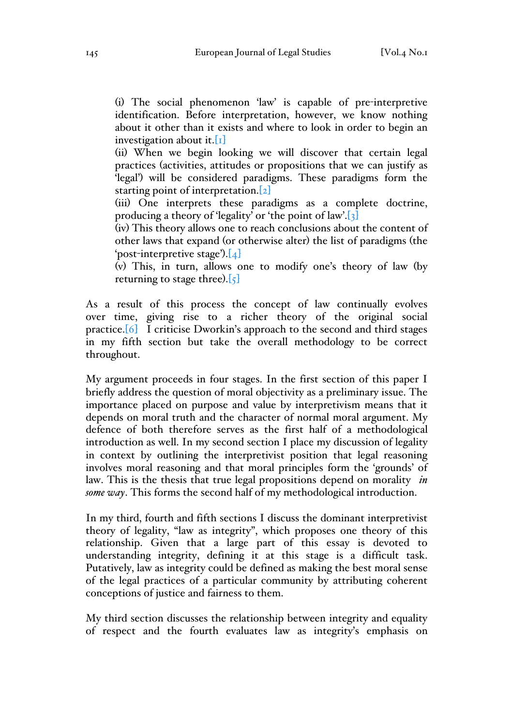(i) The social phenomenon 'law' is capable of pre-interpretive identification. Before interpretation, however, we know nothing about it other than it exists and where to look in order to begin an investigation about it.  $\begin{bmatrix} 1 \end{bmatrix}$ 

(ii) When we begin looking we will discover that certain legal practices (activities, attitudes or propositions that we can justify as 'legal') will be considered paradigms. These paradigms form the starting point of interpretation.[2]

(iii) One interprets these paradigms as a complete doctrine, producing a theory of 'legality' or 'the point of law'.[3]

(iv) This theory allows one to reach conclusions about the content of other laws that expand (or otherwise alter) the list of paradigms (the 'post-interpretive stage').[4]

(v) This, in turn, allows one to modify one's theory of law (by returning to stage three). $[5]$ 

As a result of this process the concept of law continually evolves over time, giving rise to a richer theory of the original social practice.[6] I criticise Dworkin's approach to the second and third stages in my fifth section but take the overall methodology to be correct throughout.

My argument proceeds in four stages. In the first section of this paper I briefly address the question of moral objectivity as a preliminary issue. The importance placed on purpose and value by interpretivism means that it depends on moral truth and the character of normal moral argument. My defence of both therefore serves as the first half of a methodological introduction as well. In my second section I place my discussion of legality in context by outlining the interpretivist position that legal reasoning involves moral reasoning and that moral principles form the 'grounds' of law. This is the thesis that true legal propositions depend on morality *in some way*. This forms the second half of my methodological introduction.

In my third, fourth and fifth sections I discuss the dominant interpretivist theory of legality, "law as integrity", which proposes one theory of this relationship. Given that a large part of this essay is devoted to understanding integrity, defining it at this stage is a difficult task. Putatively, law as integrity could be defined as making the best moral sense of the legal practices of a particular community by attributing coherent conceptions of justice and fairness to them.

My third section discusses the relationship between integrity and equality of respect and the fourth evaluates law as integrity's emphasis on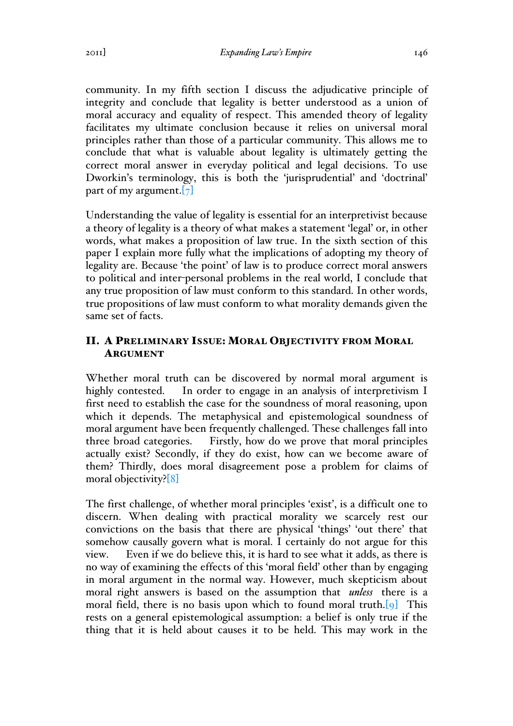community. In my fifth section I discuss the adjudicative principle of integrity and conclude that legality is better understood as a union of moral accuracy and equality of respect. This amended theory of legality facilitates my ultimate conclusion because it relies on universal moral principles rather than those of a particular community. This allows me to conclude that what is valuable about legality is ultimately getting the correct moral answer in everyday political and legal decisions. To use Dworkin's terminology, this is both the 'jurisprudential' and 'doctrinal' part of my argument. $[7]$ 

Understanding the value of legality is essential for an interpretivist because a theory of legality is a theory of what makes a statement 'legal' or, in other words, what makes a proposition of law true. In the sixth section of this paper I explain more fully what the implications of adopting my theory of legality are. Because 'the point' of law is to produce correct moral answers to political and inter-personal problems in the real world, I conclude that any true proposition of law must conform to this standard. In other words, true propositions of law must conform to what morality demands given the same set of facts.

# II. A PRELIMINARY ISSUE: MORAL OBJECTIVITY FROM MORAL ARGUMENT

Whether moral truth can be discovered by normal moral argument is highly contested. In order to engage in an analysis of interpretivism I first need to establish the case for the soundness of moral reasoning, upon which it depends. The metaphysical and epistemological soundness of moral argument have been frequently challenged. These challenges fall into three broad categories. Firstly, how do we prove that moral principles actually exist? Secondly, if they do exist, how can we become aware of them? Thirdly, does moral disagreement pose a problem for claims of moral objectivity?[8]

The first challenge, of whether moral principles 'exist', is a difficult one to discern. When dealing with practical morality we scarcely rest our convictions on the basis that there are physical 'things' 'out there' that somehow causally govern what is moral. I certainly do not argue for this view. Even if we do believe this, it is hard to see what it adds, as there is no way of examining the effects of this 'moral field' other than by engaging in moral argument in the normal way. However, much skepticism about moral right answers is based on the assumption that *unless* there is a moral field, there is no basis upon which to found moral truth. $[9]$  This rests on a general epistemological assumption: a belief is only true if the thing that it is held about causes it to be held. This may work in the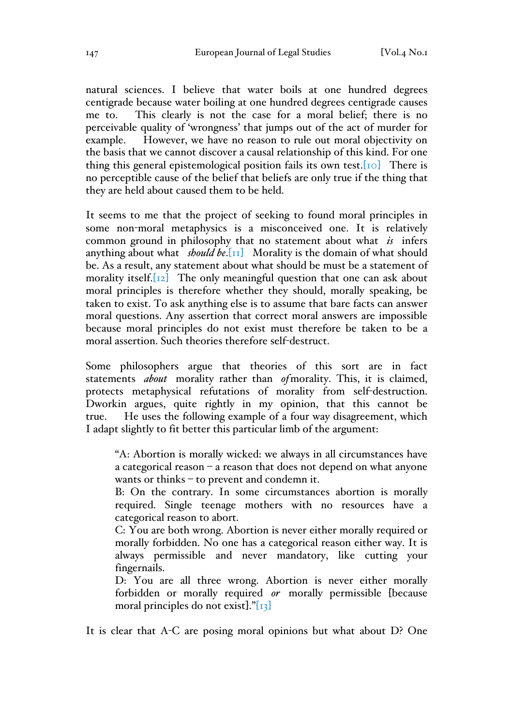natural sciences. I believe that water boils at one hundred degrees centigrade because water boiling at one hundred degrees centigrade causes me to. This clearly is not the case for a moral belief; there is no perceivable quality of 'wrongness' that jumps out of the act of murder for example. However, we have no reason to rule out moral objectivity on the basis that we cannot discover a causal relationship of this kind. For one thing this general epistemological position fails its own test.[10] There is no perceptible cause of the belief that beliefs are only true if the thing that they are held about caused them to be held.

It seems to me that the project of seeking to found moral principles in some non-moral metaphysics is a misconceived one. It is relatively common ground in philosophy that no statement about what *is* infers anything about what *should be*.[11] Morality is the domain of what should be. As a result, any statement about what should be must be a statement of morality itself.<sup>[12]</sup> The only meaningful question that one can ask about moral principles is therefore whether they should, morally speaking, be taken to exist. To ask anything else is to assume that bare facts can answer moral questions. Any assertion that correct moral answers are impossible because moral principles do not exist must therefore be taken to be a moral assertion. Such theories therefore self-destruct.

Some philosophers argue that theories of this sort are in fact statements *about* morality rather than *of*morality. This, it is claimed, protects metaphysical refutations of morality from self-destruction. Dworkin argues, quite rightly in my opinion, that this cannot be true. He uses the following example of a four way disagreement, which I adapt slightly to fit better this particular limb of the argument:

"A: Abortion is morally wicked: we always in all circumstances have a categorical reason – a reason that does not depend on what anyone wants or thinks – to prevent and condemn it.

B: On the contrary. In some circumstances abortion is morally required. Single teenage mothers with no resources have a categorical reason to abort.

C: You are both wrong. Abortion is never either morally required or morally forbidden. No one has a categorical reason either way. It is always permissible and never mandatory, like cutting your fingernails.

D: You are all three wrong. Abortion is never either morally forbidden or morally required *or* morally permissible [because moral principles do not exist]." $\left[13\right]$ 

It is clear that A-C are posing moral opinions but what about D? One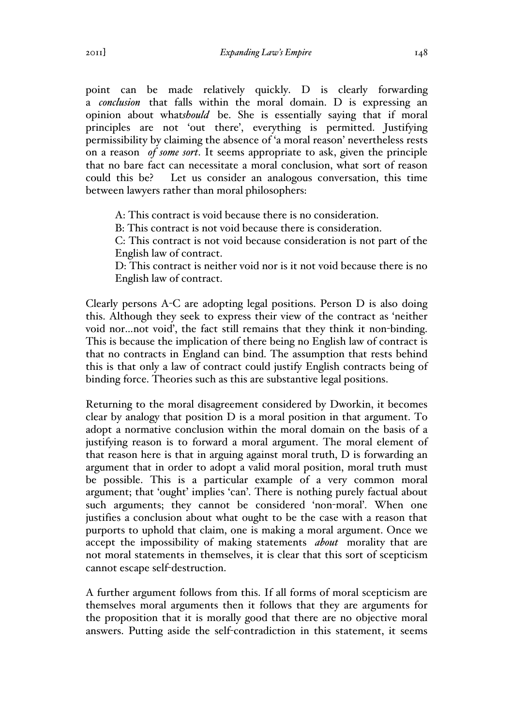point can be made relatively quickly. D is clearly forwarding a *conclusion* that falls within the moral domain. D is expressing an opinion about what*should* be. She is essentially saying that if moral principles are not 'out there', everything is permitted. Justifying permissibility by claiming the absence of 'a moral reason' nevertheless rests on a reason *of some sort*. It seems appropriate to ask, given the principle that no bare fact can necessitate a moral conclusion, what sort of reason could this be? Let us consider an analogous conversation, this time between lawyers rather than moral philosophers:

A: This contract is void because there is no consideration.

B: This contract is not void because there is consideration.

C: This contract is not void because consideration is not part of the English law of contract.

D: This contract is neither void nor is it not void because there is no English law of contract.

Clearly persons A-C are adopting legal positions. Person D is also doing this. Although they seek to express their view of the contract as 'neither void nor…not void', the fact still remains that they think it non-binding. This is because the implication of there being no English law of contract is that no contracts in England can bind. The assumption that rests behind this is that only a law of contract could justify English contracts being of binding force. Theories such as this are substantive legal positions.

Returning to the moral disagreement considered by Dworkin, it becomes clear by analogy that position D is a moral position in that argument. To adopt a normative conclusion within the moral domain on the basis of a justifying reason is to forward a moral argument. The moral element of that reason here is that in arguing against moral truth, D is forwarding an argument that in order to adopt a valid moral position, moral truth must be possible. This is a particular example of a very common moral argument; that 'ought' implies 'can'. There is nothing purely factual about such arguments; they cannot be considered 'non-moral'. When one justifies a conclusion about what ought to be the case with a reason that purports to uphold that claim, one is making a moral argument. Once we accept the impossibility of making statements *about* morality that are not moral statements in themselves, it is clear that this sort of scepticism cannot escape self-destruction.

A further argument follows from this. If all forms of moral scepticism are themselves moral arguments then it follows that they are arguments for the proposition that it is morally good that there are no objective moral answers. Putting aside the self-contradiction in this statement, it seems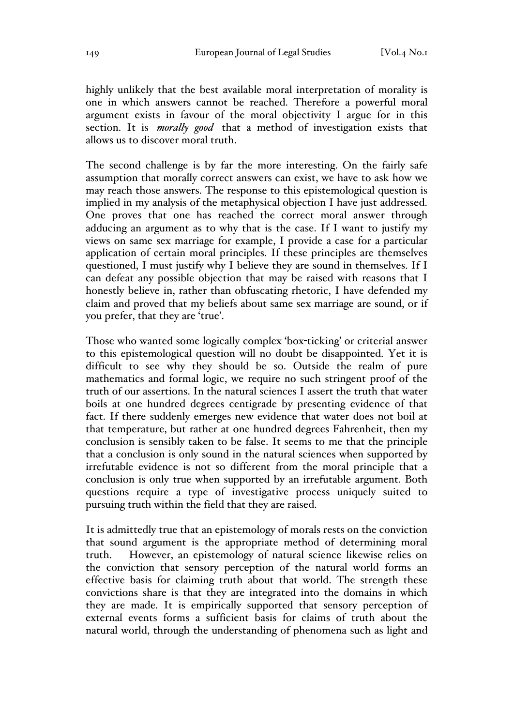highly unlikely that the best available moral interpretation of morality is one in which answers cannot be reached. Therefore a powerful moral argument exists in favour of the moral objectivity I argue for in this section. It is *morally good* that a method of investigation exists that allows us to discover moral truth.

The second challenge is by far the more interesting. On the fairly safe assumption that morally correct answers can exist, we have to ask how we may reach those answers. The response to this epistemological question is implied in my analysis of the metaphysical objection I have just addressed. One proves that one has reached the correct moral answer through adducing an argument as to why that is the case. If I want to justify my views on same sex marriage for example, I provide a case for a particular application of certain moral principles. If these principles are themselves questioned, I must justify why I believe they are sound in themselves. If I can defeat any possible objection that may be raised with reasons that I honestly believe in, rather than obfuscating rhetoric, I have defended my claim and proved that my beliefs about same sex marriage are sound, or if you prefer, that they are 'true'.

Those who wanted some logically complex 'box-ticking' or criterial answer to this epistemological question will no doubt be disappointed. Yet it is difficult to see why they should be so. Outside the realm of pure mathematics and formal logic, we require no such stringent proof of the truth of our assertions. In the natural sciences I assert the truth that water boils at one hundred degrees centigrade by presenting evidence of that fact. If there suddenly emerges new evidence that water does not boil at that temperature, but rather at one hundred degrees Fahrenheit, then my conclusion is sensibly taken to be false. It seems to me that the principle that a conclusion is only sound in the natural sciences when supported by irrefutable evidence is not so different from the moral principle that a conclusion is only true when supported by an irrefutable argument. Both questions require a type of investigative process uniquely suited to pursuing truth within the field that they are raised.

It is admittedly true that an epistemology of morals rests on the conviction that sound argument is the appropriate method of determining moral truth. However, an epistemology of natural science likewise relies on the conviction that sensory perception of the natural world forms an effective basis for claiming truth about that world. The strength these convictions share is that they are integrated into the domains in which they are made. It is empirically supported that sensory perception of external events forms a sufficient basis for claims of truth about the natural world, through the understanding of phenomena such as light and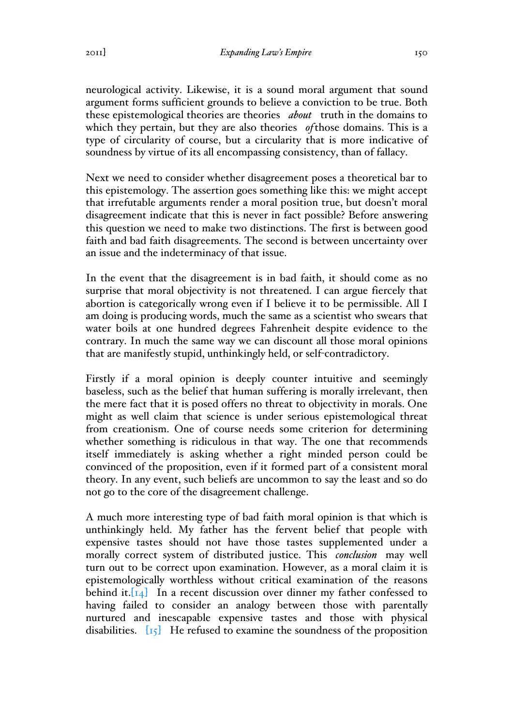neurological activity. Likewise, it is a sound moral argument that sound argument forms sufficient grounds to believe a conviction to be true. Both these epistemological theories are theories *about* truth in the domains to which they pertain, but they are also theories *of*those domains. This is a type of circularity of course, but a circularity that is more indicative of soundness by virtue of its all encompassing consistency, than of fallacy.

Next we need to consider whether disagreement poses a theoretical bar to this epistemology. The assertion goes something like this: we might accept that irrefutable arguments render a moral position true, but doesn't moral disagreement indicate that this is never in fact possible? Before answering this question we need to make two distinctions. The first is between good faith and bad faith disagreements. The second is between uncertainty over an issue and the indeterminacy of that issue.

In the event that the disagreement is in bad faith, it should come as no surprise that moral objectivity is not threatened. I can argue fiercely that abortion is categorically wrong even if I believe it to be permissible. All I am doing is producing words, much the same as a scientist who swears that water boils at one hundred degrees Fahrenheit despite evidence to the contrary. In much the same way we can discount all those moral opinions that are manifestly stupid, unthinkingly held, or self-contradictory.

Firstly if a moral opinion is deeply counter intuitive and seemingly baseless, such as the belief that human suffering is morally irrelevant, then the mere fact that it is posed offers no threat to objectivity in morals. One might as well claim that science is under serious epistemological threat from creationism. One of course needs some criterion for determining whether something is ridiculous in that way. The one that recommends itself immediately is asking whether a right minded person could be convinced of the proposition, even if it formed part of a consistent moral theory. In any event, such beliefs are uncommon to say the least and so do not go to the core of the disagreement challenge.

A much more interesting type of bad faith moral opinion is that which is unthinkingly held. My father has the fervent belief that people with expensive tastes should not have those tastes supplemented under a morally correct system of distributed justice. This *conclusion* may well turn out to be correct upon examination. However, as a moral claim it is epistemologically worthless without critical examination of the reasons behind it.  $\begin{bmatrix} 1 & 1 \\ 1 & 1 \end{bmatrix}$  In a recent discussion over dinner my father confessed to having failed to consider an analogy between those with parentally nurtured and inescapable expensive tastes and those with physical disabilities.  $\begin{bmatrix} 15 \end{bmatrix}$  He refused to examine the soundness of the proposition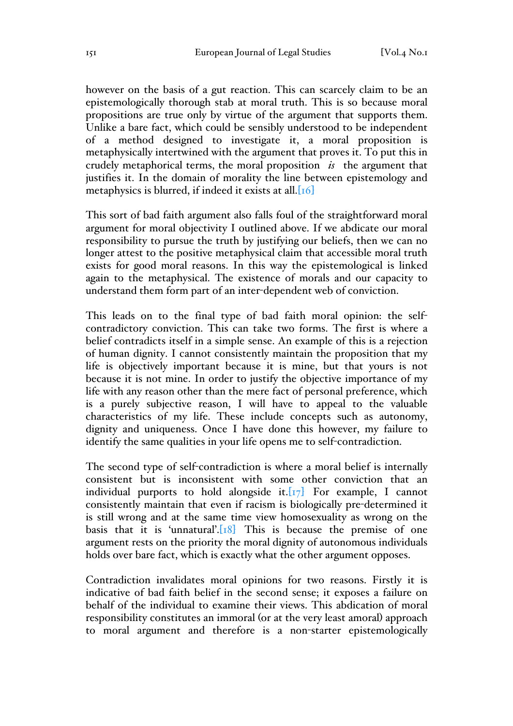however on the basis of a gut reaction. This can scarcely claim to be an epistemologically thorough stab at moral truth. This is so because moral propositions are true only by virtue of the argument that supports them. Unlike a bare fact, which could be sensibly understood to be independent of a method designed to investigate it, a moral proposition is metaphysically intertwined with the argument that proves it. To put this in crudely metaphorical terms, the moral proposition *is* the argument that justifies it. In the domain of morality the line between epistemology and metaphysics is blurred, if indeed it exists at all. $[16]$ 

This sort of bad faith argument also falls foul of the straightforward moral argument for moral objectivity I outlined above. If we abdicate our moral responsibility to pursue the truth by justifying our beliefs, then we can no longer attest to the positive metaphysical claim that accessible moral truth exists for good moral reasons. In this way the epistemological is linked again to the metaphysical. The existence of morals and our capacity to understand them form part of an inter-dependent web of conviction.

This leads on to the final type of bad faith moral opinion: the selfcontradictory conviction. This can take two forms. The first is where a belief contradicts itself in a simple sense. An example of this is a rejection of human dignity. I cannot consistently maintain the proposition that my life is objectively important because it is mine, but that yours is not because it is not mine. In order to justify the objective importance of my life with any reason other than the mere fact of personal preference, which is a purely subjective reason, I will have to appeal to the valuable characteristics of my life. These include concepts such as autonomy, dignity and uniqueness. Once I have done this however, my failure to identify the same qualities in your life opens me to self-contradiction.

The second type of self-contradiction is where a moral belief is internally consistent but is inconsistent with some other conviction that an individual purports to hold alongside it. $\left[\frac{17}{2}\right]$  For example, I cannot consistently maintain that even if racism is biologically pre-determined it is still wrong and at the same time view homosexuality as wrong on the basis that it is 'unnatural'. $[18]$  This is because the premise of one argument rests on the priority the moral dignity of autonomous individuals holds over bare fact, which is exactly what the other argument opposes.

Contradiction invalidates moral opinions for two reasons. Firstly it is indicative of bad faith belief in the second sense; it exposes a failure on behalf of the individual to examine their views. This abdication of moral responsibility constitutes an immoral (or at the very least amoral) approach to moral argument and therefore is a non-starter epistemologically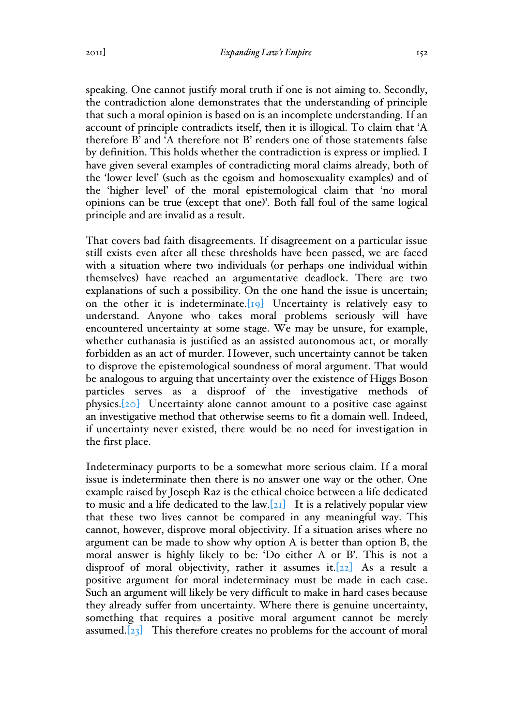speaking. One cannot justify moral truth if one is not aiming to. Secondly, the contradiction alone demonstrates that the understanding of principle that such a moral opinion is based on is an incomplete understanding. If an account of principle contradicts itself, then it is illogical. To claim that 'A therefore B' and 'A therefore not B' renders one of those statements false by definition. This holds whether the contradiction is express or implied. I have given several examples of contradicting moral claims already, both of the 'lower level' (such as the egoism and homosexuality examples) and of the 'higher level' of the moral epistemological claim that 'no moral opinions can be true (except that one)'. Both fall foul of the same logical principle and are invalid as a result.

That covers bad faith disagreements. If disagreement on a particular issue still exists even after all these thresholds have been passed, we are faced with a situation where two individuals (or perhaps one individual within themselves) have reached an argumentative deadlock. There are two explanations of such a possibility. On the one hand the issue is uncertain; on the other it is indeterminate.  $[r_9]$  Uncertainty is relatively easy to understand. Anyone who takes moral problems seriously will have encountered uncertainty at some stage. We may be unsure, for example, whether euthanasia is justified as an assisted autonomous act, or morally forbidden as an act of murder. However, such uncertainty cannot be taken to disprove the epistemological soundness of moral argument. That would be analogous to arguing that uncertainty over the existence of Higgs Boson particles serves as a disproof of the investigative methods of physics.[20] Uncertainty alone cannot amount to a positive case against an investigative method that otherwise seems to fit a domain well. Indeed, if uncertainty never existed, there would be no need for investigation in the first place.

Indeterminacy purports to be a somewhat more serious claim. If a moral issue is indeterminate then there is no answer one way or the other. One example raised by Joseph Raz is the ethical choice between a life dedicated to music and a life dedicated to the law. [21] It is a relatively popular view that these two lives cannot be compared in any meaningful way. This cannot, however, disprove moral objectivity. If a situation arises where no argument can be made to show why option A is better than option B, the moral answer is highly likely to be: 'Do either A or B'. This is not a disproof of moral objectivity, rather it assumes it.<sup>[22]</sup> As a result a positive argument for moral indeterminacy must be made in each case. Such an argument will likely be very difficult to make in hard cases because they already suffer from uncertainty. Where there is genuine uncertainty, something that requires a positive moral argument cannot be merely assumed. $[23]$  This therefore creates no problems for the account of moral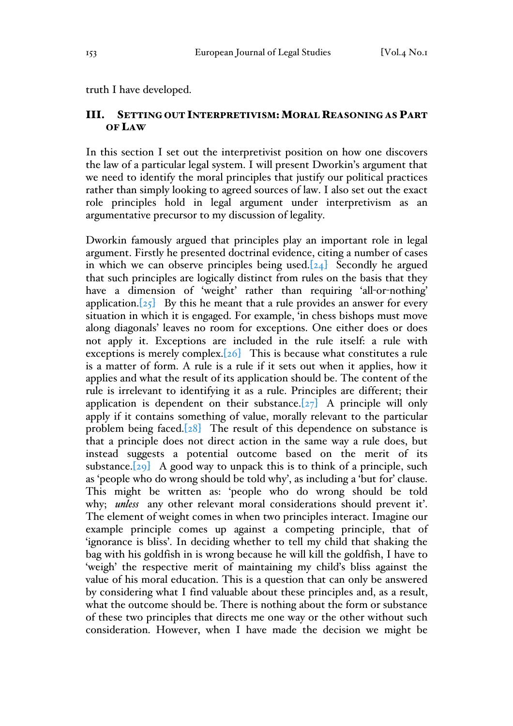truth I have developed.

## III. SETTING OUT INTERPRETIVISM: MORAL REASONING AS PART OF LAW

In this section I set out the interpretivist position on how one discovers the law of a particular legal system. I will present Dworkin's argument that we need to identify the moral principles that justify our political practices rather than simply looking to agreed sources of law. I also set out the exact role principles hold in legal argument under interpretivism as an argumentative precursor to my discussion of legality.

Dworkin famously argued that principles play an important role in legal argument. Firstly he presented doctrinal evidence, citing a number of cases in which we can observe principles being used. $[24]$  Secondly he argued that such principles are logically distinct from rules on the basis that they have a dimension of 'weight' rather than requiring 'all-or-nothing' application. $[25]$  By this he meant that a rule provides an answer for every situation in which it is engaged. For example, 'in chess bishops must move along diagonals' leaves no room for exceptions. One either does or does not apply it. Exceptions are included in the rule itself: a rule with exceptions is merely complex. $[26]$  This is because what constitutes a rule is a matter of form. A rule is a rule if it sets out when it applies, how it applies and what the result of its application should be. The content of the rule is irrelevant to identifying it as a rule. Principles are different; their application is dependent on their substance. $[27]$  A principle will only apply if it contains something of value, morally relevant to the particular problem being faced.[28] The result of this dependence on substance is that a principle does not direct action in the same way a rule does, but instead suggests a potential outcome based on the merit of its substance.[29] A good way to unpack this is to think of a principle, such as 'people who do wrong should be told why', as including a 'but for' clause. This might be written as: 'people who do wrong should be told why; *unless* any other relevant moral considerations should prevent it'. The element of weight comes in when two principles interact. Imagine our example principle comes up against a competing principle, that of 'ignorance is bliss'. In deciding whether to tell my child that shaking the bag with his goldfish in is wrong because he will kill the goldfish, I have to 'weigh' the respective merit of maintaining my child's bliss against the value of his moral education. This is a question that can only be answered by considering what I find valuable about these principles and, as a result, what the outcome should be. There is nothing about the form or substance of these two principles that directs me one way or the other without such consideration. However, when I have made the decision we might be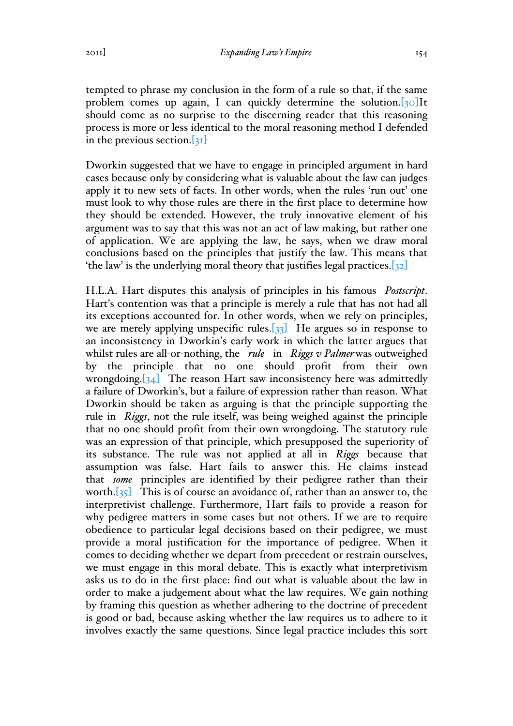tempted to phrase my conclusion in the form of a rule so that, if the same problem comes up again, I can quickly determine the solution.[30]It should come as no surprise to the discerning reader that this reasoning process is more or less identical to the moral reasoning method I defended in the previous section.[31]

Dworkin suggested that we have to engage in principled argument in hard cases because only by considering what is valuable about the law can judges apply it to new sets of facts. In other words, when the rules 'run out' one must look to why those rules are there in the first place to determine how they should be extended. However, the truly innovative element of his argument was to say that this was not an act of law making, but rather one of application. We are applying the law, he says, when we draw moral conclusions based on the principles that justify the law. This means that 'the law' is the underlying moral theory that justifies legal practices. $[32]$ 

H.L.A. Hart disputes this analysis of principles in his famous *Postscript*. Hart's contention was that a principle is merely a rule that has not had all its exceptions accounted for. In other words, when we rely on principles, we are merely applying unspecific rules. $[33]$  He argues so in response to an inconsistency in Dworkin's early work in which the latter argues that whilst rules are all-or-nothing, the *rule* in *Riggs v Palmer*was outweighed by the principle that no one should profit from their own wrongdoing. $[34]$  The reason Hart saw inconsistency here was admittedly a failure of Dworkin's, but a failure of expression rather than reason. What Dworkin should be taken as arguing is that the principle supporting the rule in *Riggs*, not the rule itself, was being weighed against the principle that no one should profit from their own wrongdoing. The statutory rule was an expression of that principle, which presupposed the superiority of its substance. The rule was not applied at all in *Riggs* because that assumption was false. Hart fails to answer this. He claims instead that *some* principles are identified by their pedigree rather than their worth. $\begin{bmatrix} 35 \end{bmatrix}$  This is of course an avoidance of, rather than an answer to, the interpretivist challenge. Furthermore, Hart fails to provide a reason for why pedigree matters in some cases but not others. If we are to require obedience to particular legal decisions based on their pedigree, we must provide a moral justification for the importance of pedigree. When it comes to deciding whether we depart from precedent or restrain ourselves, we must engage in this moral debate. This is exactly what interpretivism asks us to do in the first place: find out what is valuable about the law in order to make a judgement about what the law requires. We gain nothing by framing this question as whether adhering to the doctrine of precedent is good or bad, because asking whether the law requires us to adhere to it involves exactly the same questions. Since legal practice includes this sort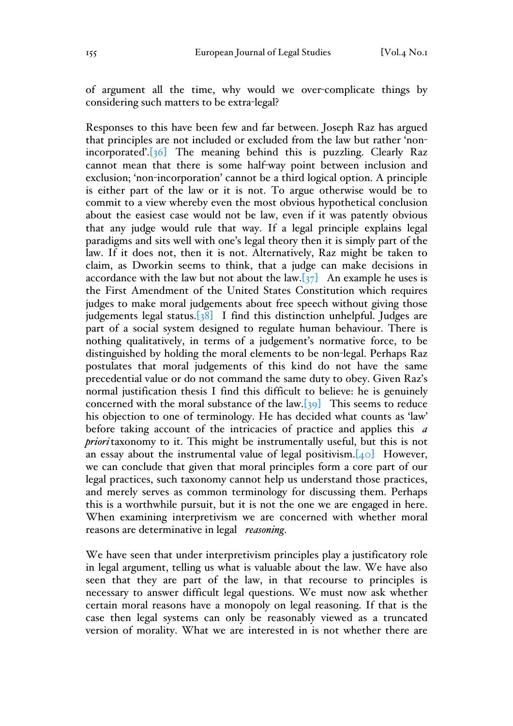of argument all the time, why would we over-complicate things by considering such matters to be extra-legal?

Responses to this have been few and far between. Joseph Raz has argued that principles are not included or excluded from the law but rather 'nonincorporated'.[36] The meaning behind this is puzzling. Clearly Raz cannot mean that there is some half-way point between inclusion and exclusion; 'non-incorporation' cannot be a third logical option. A principle is either part of the law or it is not. To argue otherwise would be to commit to a view whereby even the most obvious hypothetical conclusion about the easiest case would not be law, even if it was patently obvious that any judge would rule that way. If a legal principle explains legal paradigms and sits well with one's legal theory then it is simply part of the law. If it does not, then it is not. Alternatively, Raz might be taken to claim, as Dworkin seems to think, that a judge can make decisions in accordance with the law but not about the  $\text{law}[\overline{37}]$  An example he uses is the First Amendment of the United States Constitution which requires judges to make moral judgements about free speech without giving those judgements legal status.[38] I find this distinction unhelpful. Judges are part of a social system designed to regulate human behaviour. There is nothing qualitatively, in terms of a judgement's normative force, to be distinguished by holding the moral elements to be non-legal. Perhaps Raz postulates that moral judgements of this kind do not have the same precedential value or do not command the same duty to obey. Given Raz's normal justification thesis I find this difficult to believe: he is genuinely concerned with the moral substance of the law. $[39]$  This seems to reduce his objection to one of terminology. He has decided what counts as 'law' before taking account of the intricacies of practice and applies this *a priori*taxonomy to it. This might be instrumentally useful, but this is not an essay about the instrumental value of legal positivism. $[40]$  However, we can conclude that given that moral principles form a core part of our legal practices, such taxonomy cannot help us understand those practices, and merely serves as common terminology for discussing them. Perhaps this is a worthwhile pursuit, but it is not the one we are engaged in here. When examining interpretivism we are concerned with whether moral reasons are determinative in legal *reasoning*.

We have seen that under interpretivism principles play a justificatory role in legal argument, telling us what is valuable about the law. We have also seen that they are part of the law, in that recourse to principles is necessary to answer difficult legal questions. We must now ask whether certain moral reasons have a monopoly on legal reasoning. If that is the case then legal systems can only be reasonably viewed as a truncated version of morality. What we are interested in is not whether there are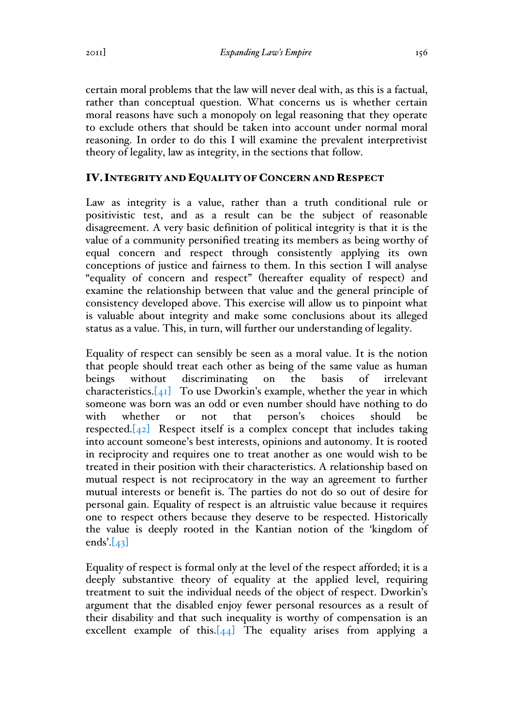2011] *Expanding Law's Empire* 156

certain moral problems that the law will never deal with, as this is a factual, rather than conceptual question. What concerns us is whether certain moral reasons have such a monopoly on legal reasoning that they operate to exclude others that should be taken into account under normal moral reasoning. In order to do this I will examine the prevalent interpretivist theory of legality, law as integrity, in the sections that follow.

## IV.INTEGRITY AND EQUALITY OF CONCERN AND RESPECT

Law as integrity is a value, rather than a truth conditional rule or positivistic test, and as a result can be the subject of reasonable disagreement. A very basic definition of political integrity is that it is the value of a community personified treating its members as being worthy of equal concern and respect through consistently applying its own conceptions of justice and fairness to them. In this section I will analyse "equality of concern and respect" (hereafter equality of respect) and examine the relationship between that value and the general principle of consistency developed above. This exercise will allow us to pinpoint what is valuable about integrity and make some conclusions about its alleged status as a value. This, in turn, will further our understanding of legality.

Equality of respect can sensibly be seen as a moral value. It is the notion that people should treat each other as being of the same value as human beings without discriminating on the basis of irrelevant characteristics. $[41]$  To use Dworkin's example, whether the year in which someone was born was an odd or even number should have nothing to do with whether or not that person's choices should be respected. $[42]$  Respect itself is a complex concept that includes taking into account someone's best interests, opinions and autonomy. It is rooted in reciprocity and requires one to treat another as one would wish to be treated in their position with their characteristics. A relationship based on mutual respect is not reciprocatory in the way an agreement to further mutual interests or benefit is. The parties do not do so out of desire for personal gain. Equality of respect is an altruistic value because it requires one to respect others because they deserve to be respected. Historically the value is deeply rooted in the Kantian notion of the 'kingdom of ends'. $[43]$ 

Equality of respect is formal only at the level of the respect afforded; it is a deeply substantive theory of equality at the applied level, requiring treatment to suit the individual needs of the object of respect. Dworkin's argument that the disabled enjoy fewer personal resources as a result of their disability and that such inequality is worthy of compensation is an excellent example of this. $[44]$  The equality arises from applying a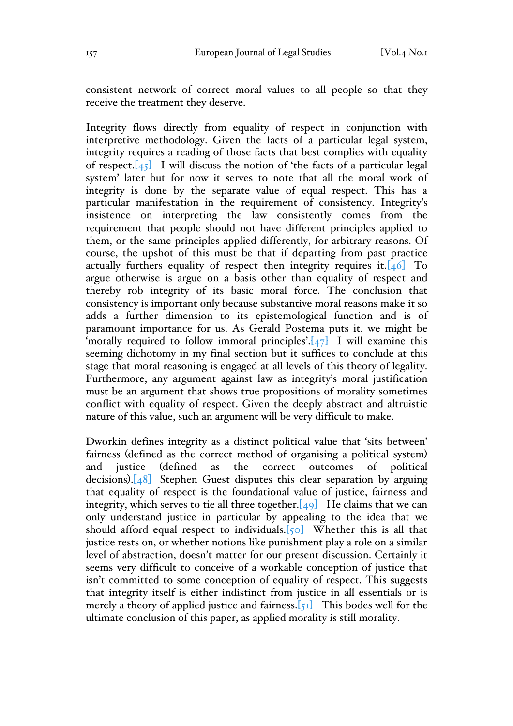consistent network of correct moral values to all people so that they receive the treatment they deserve.

Integrity flows directly from equality of respect in conjunction with interpretive methodology. Given the facts of a particular legal system, integrity requires a reading of those facts that best complies with equality of respect. $[45]$  I will discuss the notion of 'the facts of a particular legal system' later but for now it serves to note that all the moral work of integrity is done by the separate value of equal respect. This has a particular manifestation in the requirement of consistency. Integrity's insistence on interpreting the law consistently comes from the requirement that people should not have different principles applied to them, or the same principles applied differently, for arbitrary reasons. Of course, the upshot of this must be that if departing from past practice actually furthers equality of respect then integrity requires it. $[46]$  To argue otherwise is argue on a basis other than equality of respect and thereby rob integrity of its basic moral force. The conclusion that consistency is important only because substantive moral reasons make it so adds a further dimension to its epistemological function and is of paramount importance for us. As Gerald Postema puts it, we might be 'morally required to follow immoral principles'. $[47]$  I will examine this seeming dichotomy in my final section but it suffices to conclude at this stage that moral reasoning is engaged at all levels of this theory of legality. Furthermore, any argument against law as integrity's moral justification must be an argument that shows true propositions of morality sometimes conflict with equality of respect. Given the deeply abstract and altruistic nature of this value, such an argument will be very difficult to make.

Dworkin defines integrity as a distinct political value that 'sits between' fairness (defined as the correct method of organising a political system) and justice (defined as the correct outcomes of political decisions). $[48]$  Stephen Guest disputes this clear separation by arguing that equality of respect is the foundational value of justice, fairness and integrity, which serves to tie all three together.  $[49]$  He claims that we can only understand justice in particular by appealing to the idea that we should afford equal respect to individuals. $\overline{[50]}$  Whether this is all that justice rests on, or whether notions like punishment play a role on a similar level of abstraction, doesn't matter for our present discussion. Certainly it seems very difficult to conceive of a workable conception of justice that isn't committed to some conception of equality of respect. This suggests that integrity itself is either indistinct from justice in all essentials or is merely a theory of applied justice and fairness. $\overline{[51]}$  This bodes well for the ultimate conclusion of this paper, as applied morality is still morality.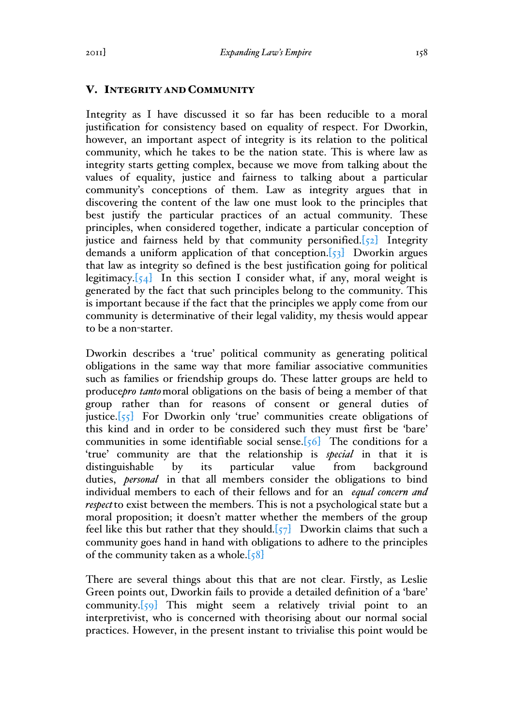## V. INTEGRITY AND COMMUNITY

Integrity as I have discussed it so far has been reducible to a moral justification for consistency based on equality of respect. For Dworkin, however, an important aspect of integrity is its relation to the political community, which he takes to be the nation state. This is where law as integrity starts getting complex, because we move from talking about the values of equality, justice and fairness to talking about a particular community's conceptions of them. Law as integrity argues that in discovering the content of the law one must look to the principles that best justify the particular practices of an actual community. These principles, when considered together, indicate a particular conception of justice and fairness held by that community personified. $[52]$  Integrity demands a uniform application of that conception. $\begin{bmatrix} 53 \end{bmatrix}$  Dworkin argues that law as integrity so defined is the best justification going for political legitimacy. $[54]$  In this section I consider what, if any, moral weight is generated by the fact that such principles belong to the community. This is important because if the fact that the principles we apply come from our community is determinative of their legal validity, my thesis would appear to be a non-starter.

Dworkin describes a 'true' political community as generating political obligations in the same way that more familiar associative communities such as families or friendship groups do. These latter groups are held to produce*pro tanto*moral obligations on the basis of being a member of that group rather than for reasons of consent or general duties of justice.<sup>[55]</sup> For Dworkin only 'true' communities create obligations of this kind and in order to be considered such they must first be 'bare' communities in some identifiable social sense.  $[56]$  The conditions for a 'true' community are that the relationship is *special* in that it is distinguishable by its particular value from background duties, *personal* in that all members consider the obligations to bind individual members to each of their fellows and for an *equal concern and respect*to exist between the members. This is not a psychological state but a moral proposition; it doesn't matter whether the members of the group feel like this but rather that they should. $[57]$  Dworkin claims that such a community goes hand in hand with obligations to adhere to the principles of the community taken as a whole.[58]

There are several things about this that are not clear. Firstly, as Leslie Green points out, Dworkin fails to provide a detailed definition of a 'bare' community. $[59]$  This might seem a relatively trivial point to an interpretivist, who is concerned with theorising about our normal social practices. However, in the present instant to trivialise this point would be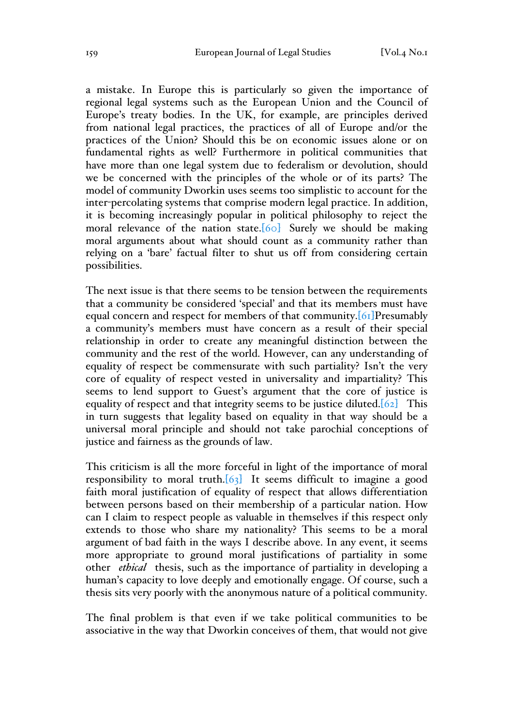a mistake. In Europe this is particularly so given the importance of regional legal systems such as the European Union and the Council of Europe's treaty bodies. In the UK, for example, are principles derived from national legal practices, the practices of all of Europe and/or the practices of the Union? Should this be on economic issues alone or on fundamental rights as well? Furthermore in political communities that have more than one legal system due to federalism or devolution, should we be concerned with the principles of the whole or of its parts? The model of community Dworkin uses seems too simplistic to account for the inter-percolating systems that comprise modern legal practice. In addition, it is becoming increasingly popular in political philosophy to reject the moral relevance of the nation state.[60] Surely we should be making moral arguments about what should count as a community rather than relying on a 'bare' factual filter to shut us off from considering certain possibilities.

The next issue is that there seems to be tension between the requirements that a community be considered 'special' and that its members must have equal concern and respect for members of that community.  $[61]$ Presumably a community's members must have concern as a result of their special relationship in order to create any meaningful distinction between the community and the rest of the world. However, can any understanding of equality of respect be commensurate with such partiality? Isn't the very core of equality of respect vested in universality and impartiality? This seems to lend support to Guest's argument that the core of justice is equality of respect and that integrity seems to be justice diluted. $[62]$  This in turn suggests that legality based on equality in that way should be a universal moral principle and should not take parochial conceptions of justice and fairness as the grounds of law.

This criticism is all the more forceful in light of the importance of moral responsibility to moral truth. $[63]$  It seems difficult to imagine a good faith moral justification of equality of respect that allows differentiation between persons based on their membership of a particular nation. How can I claim to respect people as valuable in themselves if this respect only extends to those who share my nationality? This seems to be a moral argument of bad faith in the ways I describe above. In any event, it seems more appropriate to ground moral justifications of partiality in some other *ethical* thesis, such as the importance of partiality in developing a human's capacity to love deeply and emotionally engage. Of course, such a thesis sits very poorly with the anonymous nature of a political community.

The final problem is that even if we take political communities to be associative in the way that Dworkin conceives of them, that would not give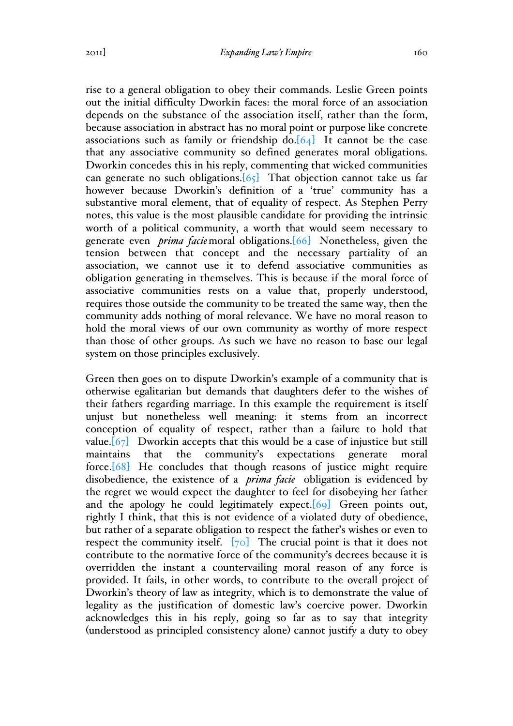rise to a general obligation to obey their commands. Leslie Green points out the initial difficulty Dworkin faces: the moral force of an association depends on the substance of the association itself, rather than the form, because association in abstract has no moral point or purpose like concrete associations such as family or friendship  $do.[64]$  It cannot be the case that any associative community so defined generates moral obligations. Dworkin concedes this in his reply, commenting that wicked communities can generate no such obligations.  $[65]$  That objection cannot take us far however because Dworkin's definition of a 'true' community has a substantive moral element, that of equality of respect. As Stephen Perry notes, this value is the most plausible candidate for providing the intrinsic worth of a political community, a worth that would seem necessary to generate even *prima facie*moral obligations.[66] Nonetheless, given the tension between that concept and the necessary partiality of an association, we cannot use it to defend associative communities as obligation generating in themselves. This is because if the moral force of associative communities rests on a value that, properly understood, requires those outside the community to be treated the same way, then the community adds nothing of moral relevance. We have no moral reason to hold the moral views of our own community as worthy of more respect than those of other groups. As such we have no reason to base our legal system on those principles exclusively.

Green then goes on to dispute Dworkin's example of a community that is otherwise egalitarian but demands that daughters defer to the wishes of their fathers regarding marriage. In this example the requirement is itself unjust but nonetheless well meaning: it stems from an incorrect conception of equality of respect, rather than a failure to hold that value. $[67]$  Dworkin accepts that this would be a case of injustice but still maintains that the community's expectations generate moral force.[68] He concludes that though reasons of justice might require disobedience, the existence of a *prima facie* obligation is evidenced by the regret we would expect the daughter to feel for disobeying her father and the apology he could legitimately expect.[69] Green points out, rightly I think, that this is not evidence of a violated duty of obedience, but rather of a separate obligation to respect the father's wishes or even to respect the community itself.  $[70]$  The crucial point is that it does not contribute to the normative force of the community's decrees because it is overridden the instant a countervailing moral reason of any force is provided. It fails, in other words, to contribute to the overall project of Dworkin's theory of law as integrity, which is to demonstrate the value of legality as the justification of domestic law's coercive power. Dworkin acknowledges this in his reply, going so far as to say that integrity (understood as principled consistency alone) cannot justify a duty to obey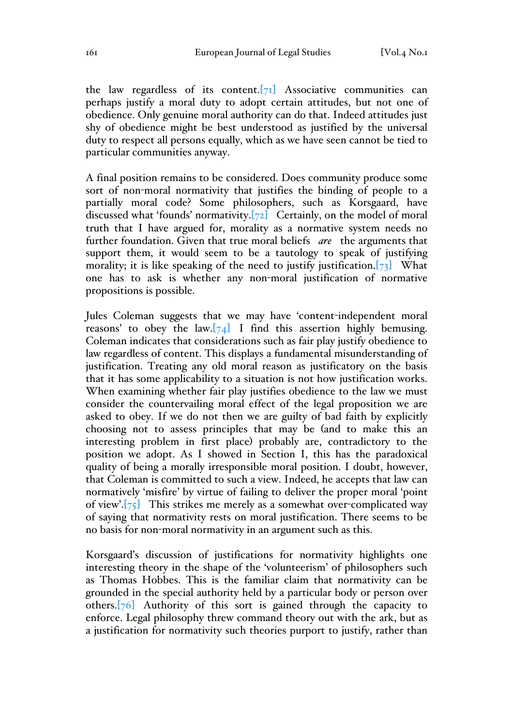the law regardless of its content.  $[71]$  Associative communities can perhaps justify a moral duty to adopt certain attitudes, but not one of obedience. Only genuine moral authority can do that. Indeed attitudes just shy of obedience might be best understood as justified by the universal duty to respect all persons equally, which as we have seen cannot be tied to particular communities anyway.

A final position remains to be considered. Does community produce some sort of non-moral normativity that justifies the binding of people to a partially moral code? Some philosophers, such as Korsgaard, have discussed what 'founds' normativity.[72] Certainly, on the model of moral truth that I have argued for, morality as a normative system needs no further foundation. Given that true moral beliefs *are* the arguments that support them, it would seem to be a tautology to speak of justifying morality; it is like speaking of the need to justify justification. $[73]$  What one has to ask is whether any non-moral justification of normative propositions is possible.

Jules Coleman suggests that we may have 'content-independent moral reasons' to obey the law. $\sqrt{74}$  I find this assertion highly bemusing. Coleman indicates that considerations such as fair play justify obedience to law regardless of content. This displays a fundamental misunderstanding of justification. Treating any old moral reason as justificatory on the basis that it has some applicability to a situation is not how justification works. When examining whether fair play justifies obedience to the law we must consider the countervailing moral effect of the legal proposition we are asked to obey. If we do not then we are guilty of bad faith by explicitly choosing not to assess principles that may be (and to make this an interesting problem in first place) probably are, contradictory to the position we adopt. As I showed in Section I, this has the paradoxical quality of being a morally irresponsible moral position. I doubt, however, that Coleman is committed to such a view. Indeed, he accepts that law can normatively 'misfire' by virtue of failing to deliver the proper moral 'point of view'.[75] This strikes me merely as a somewhat over-complicated way of saying that normativity rests on moral justification. There seems to be no basis for non-moral normativity in an argument such as this.

Korsgaard's discussion of justifications for normativity highlights one interesting theory in the shape of the 'volunteerism' of philosophers such as Thomas Hobbes. This is the familiar claim that normativity can be grounded in the special authority held by a particular body or person over others.[76] Authority of this sort is gained through the capacity to enforce. Legal philosophy threw command theory out with the ark, but as a justification for normativity such theories purport to justify, rather than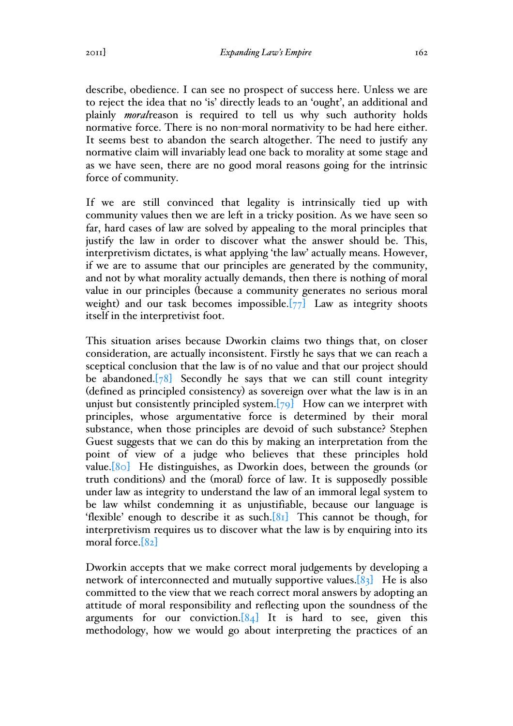describe, obedience. I can see no prospect of success here. Unless we are to reject the idea that no 'is' directly leads to an 'ought', an additional and plainly *moral*reason is required to tell us why such authority holds normative force. There is no non-moral normativity to be had here either. It seems best to abandon the search altogether. The need to justify any normative claim will invariably lead one back to morality at some stage and as we have seen, there are no good moral reasons going for the intrinsic force of community.

If we are still convinced that legality is intrinsically tied up with community values then we are left in a tricky position. As we have seen so far, hard cases of law are solved by appealing to the moral principles that justify the law in order to discover what the answer should be. This, interpretivism dictates, is what applying 'the law' actually means. However, if we are to assume that our principles are generated by the community, and not by what morality actually demands, then there is nothing of moral value in our principles (because a community generates no serious moral weight) and our task becomes impossible. $[77]$  Law as integrity shoots itself in the interpretivist foot.

This situation arises because Dworkin claims two things that, on closer consideration, are actually inconsistent. Firstly he says that we can reach a sceptical conclusion that the law is of no value and that our project should be abandoned. $[78]$  Secondly he says that we can still count integrity (defined as principled consistency) as sovereign over what the law is in an unjust but consistently principled system. $[79]$  How can we interpret with principles, whose argumentative force is determined by their moral substance, when those principles are devoid of such substance? Stephen Guest suggests that we can do this by making an interpretation from the point of view of a judge who believes that these principles hold value.[80] He distinguishes, as Dworkin does, between the grounds (or truth conditions) and the (moral) force of law. It is supposedly possible under law as integrity to understand the law of an immoral legal system to be law whilst condemning it as unjustifiable, because our language is 'flexible' enough to describe it as such.[81] This cannot be though, for interpretivism requires us to discover what the law is by enquiring into its moral force.<sup>[82]</sup>

Dworkin accepts that we make correct moral judgements by developing a network of interconnected and mutually supportive values. $[83]$  He is also committed to the view that we reach correct moral answers by adopting an attitude of moral responsibility and reflecting upon the soundness of the arguments for our conviction. $[84]$  It is hard to see, given this methodology, how we would go about interpreting the practices of an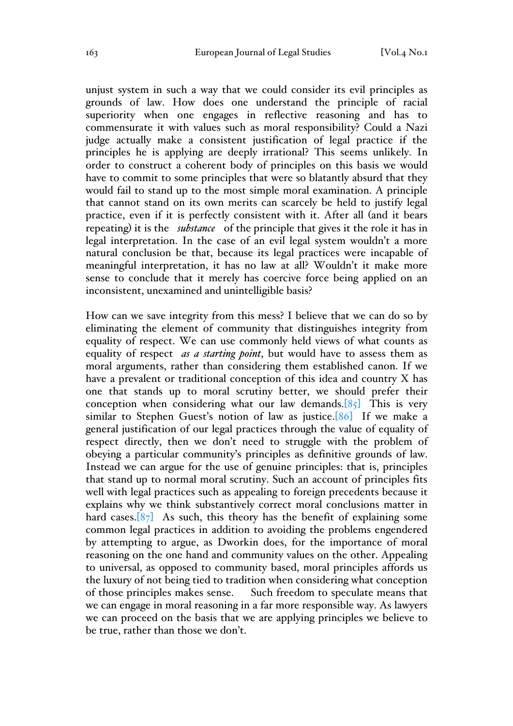unjust system in such a way that we could consider its evil principles as grounds of law. How does one understand the principle of racial superiority when one engages in reflective reasoning and has to commensurate it with values such as moral responsibility? Could a Nazi judge actually make a consistent justification of legal practice if the principles he is applying are deeply irrational? This seems unlikely. In order to construct a coherent body of principles on this basis we would have to commit to some principles that were so blatantly absurd that they would fail to stand up to the most simple moral examination. A principle that cannot stand on its own merits can scarcely be held to justify legal practice, even if it is perfectly consistent with it. After all (and it bears repeating) it is the *substance* of the principle that gives it the role it has in legal interpretation. In the case of an evil legal system wouldn't a more natural conclusion be that, because its legal practices were incapable of meaningful interpretation, it has no law at all? Wouldn't it make more sense to conclude that it merely has coercive force being applied on an inconsistent, unexamined and unintelligible basis?

How can we save integrity from this mess? I believe that we can do so by eliminating the element of community that distinguishes integrity from equality of respect. We can use commonly held views of what counts as equality of respect *as a starting point*, but would have to assess them as moral arguments, rather than considering them established canon. If we have a prevalent or traditional conception of this idea and country X has one that stands up to moral scrutiny better, we should prefer their conception when considering what our law demands. $[85]$  This is very similar to Stephen Guest's notion of law as justice.[86] If we make a general justification of our legal practices through the value of equality of respect directly, then we don't need to struggle with the problem of obeying a particular community's principles as definitive grounds of law. Instead we can argue for the use of genuine principles: that is, principles that stand up to normal moral scrutiny. Such an account of principles fits well with legal practices such as appealing to foreign precedents because it explains why we think substantively correct moral conclusions matter in hard cases. $[87]$  As such, this theory has the benefit of explaining some common legal practices in addition to avoiding the problems engendered by attempting to argue, as Dworkin does, for the importance of moral reasoning on the one hand and community values on the other. Appealing to universal, as opposed to community based, moral principles affords us the luxury of not being tied to tradition when considering what conception of those principles makes sense. Such freedom to speculate means that we can engage in moral reasoning in a far more responsible way. As lawyers we can proceed on the basis that we are applying principles we believe to be true, rather than those we don't.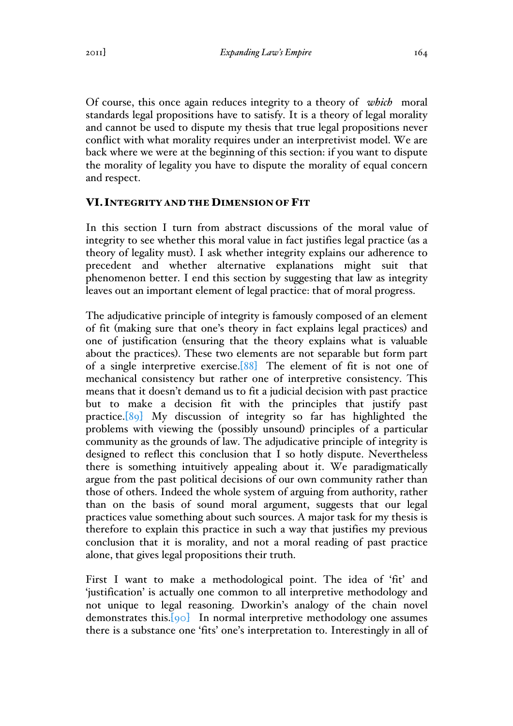Of course, this once again reduces integrity to a theory of *which* moral standards legal propositions have to satisfy. It is a theory of legal morality and cannot be used to dispute my thesis that true legal propositions never conflict with what morality requires under an interpretivist model. We are back where we were at the beginning of this section: if you want to dispute the morality of legality you have to dispute the morality of equal concern and respect.

## VI.INTEGRITY AND THE DIMENSION OF FIT

In this section I turn from abstract discussions of the moral value of integrity to see whether this moral value in fact justifies legal practice (as a theory of legality must). I ask whether integrity explains our adherence to precedent and whether alternative explanations might suit that phenomenon better. I end this section by suggesting that law as integrity leaves out an important element of legal practice: that of moral progress.

The adjudicative principle of integrity is famously composed of an element of fit (making sure that one's theory in fact explains legal practices) and one of justification (ensuring that the theory explains what is valuable about the practices). These two elements are not separable but form part of a single interpretive exercise.[88] The element of fit is not one of mechanical consistency but rather one of interpretive consistency. This means that it doesn't demand us to fit a judicial decision with past practice but to make a decision fit with the principles that justify past practice.[89] My discussion of integrity so far has highlighted the problems with viewing the (possibly unsound) principles of a particular community as the grounds of law. The adjudicative principle of integrity is designed to reflect this conclusion that I so hotly dispute. Nevertheless there is something intuitively appealing about it. We paradigmatically argue from the past political decisions of our own community rather than those of others. Indeed the whole system of arguing from authority, rather than on the basis of sound moral argument, suggests that our legal practices value something about such sources. A major task for my thesis is therefore to explain this practice in such a way that justifies my previous conclusion that it is morality, and not a moral reading of past practice alone, that gives legal propositions their truth.

First I want to make a methodological point. The idea of 'fit' and 'justification' is actually one common to all interpretive methodology and not unique to legal reasoning. Dworkin's analogy of the chain novel demonstrates this.  $[90]$  In normal interpretive methodology one assumes there is a substance one 'fits' one's interpretation to. Interestingly in all of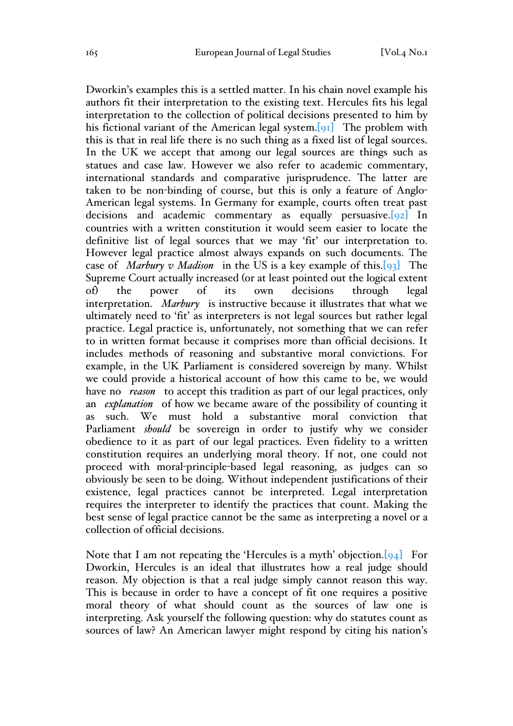Dworkin's examples this is a settled matter. In his chain novel example his authors fit their interpretation to the existing text. Hercules fits his legal interpretation to the collection of political decisions presented to him by his fictional variant of the American legal system.<sup>[91]</sup> The problem with this is that in real life there is no such thing as a fixed list of legal sources. In the UK we accept that among our legal sources are things such as statues and case law. However we also refer to academic commentary, international standards and comparative jurisprudence. The latter are taken to be non-binding of course, but this is only a feature of Anglo-American legal systems. In Germany for example, courts often treat past decisions and academic commentary as equally persuasive.<sup>[92]</sup> In countries with a written constitution it would seem easier to locate the definitive list of legal sources that we may 'fit' our interpretation to. However legal practice almost always expands on such documents. The case of *Marbury v Madison* in the US is a key example of this.[93] The Supreme Court actually increased (or at least pointed out the logical extent of) the power of its own decisions through legal interpretation. *Marbury* is instructive because it illustrates that what we ultimately need to 'fit' as interpreters is not legal sources but rather legal practice. Legal practice is, unfortunately, not something that we can refer to in written format because it comprises more than official decisions. It includes methods of reasoning and substantive moral convictions. For example, in the UK Parliament is considered sovereign by many. Whilst we could provide a historical account of how this came to be, we would have no *reason* to accept this tradition as part of our legal practices, only an *explanation* of how we became aware of the possibility of counting it as such. We must hold a substantive moral conviction that Parliament *should* be sovereign in order to justify why we consider obedience to it as part of our legal practices. Even fidelity to a written constitution requires an underlying moral theory. If not, one could not proceed with moral-principle-based legal reasoning, as judges can so obviously be seen to be doing. Without independent justifications of their existence, legal practices cannot be interpreted. Legal interpretation requires the interpreter to identify the practices that count. Making the best sense of legal practice cannot be the same as interpreting a novel or a collection of official decisions.

Note that I am not repeating the 'Hercules is a myth' objection.  $\lceil 94 \rceil$  For Dworkin, Hercules is an ideal that illustrates how a real judge should reason. My objection is that a real judge simply cannot reason this way. This is because in order to have a concept of fit one requires a positive moral theory of what should count as the sources of law one is interpreting. Ask yourself the following question: why do statutes count as sources of law? An American lawyer might respond by citing his nation's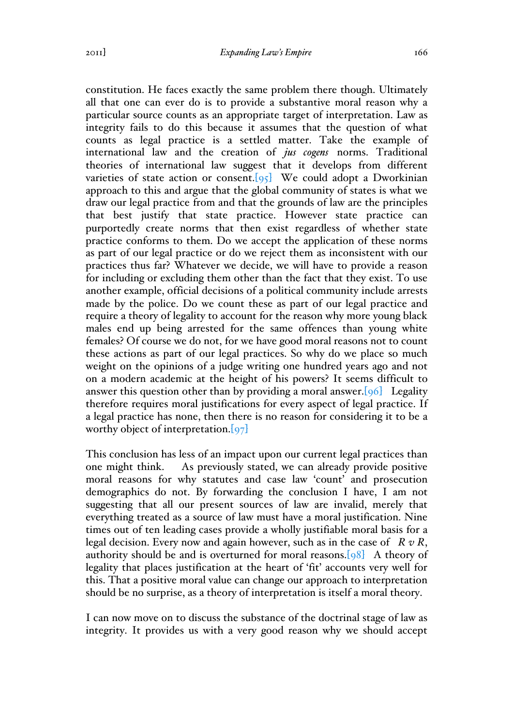constitution. He faces exactly the same problem there though. Ultimately all that one can ever do is to provide a substantive moral reason why a particular source counts as an appropriate target of interpretation. Law as integrity fails to do this because it assumes that the question of what counts as legal practice is a settled matter. Take the example of international law and the creation of *jus cogens* norms. Traditional theories of international law suggest that it develops from different varieties of state action or consent.  $\lceil 95 \rceil$  We could adopt a Dworkinian approach to this and argue that the global community of states is what we draw our legal practice from and that the grounds of law are the principles that best justify that state practice. However state practice can purportedly create norms that then exist regardless of whether state practice conforms to them. Do we accept the application of these norms as part of our legal practice or do we reject them as inconsistent with our practices thus far? Whatever we decide, we will have to provide a reason for including or excluding them other than the fact that they exist. To use another example, official decisions of a political community include arrests made by the police. Do we count these as part of our legal practice and require a theory of legality to account for the reason why more young black males end up being arrested for the same offences than young white females? Of course we do not, for we have good moral reasons not to count these actions as part of our legal practices. So why do we place so much weight on the opinions of a judge writing one hundred years ago and not on a modern academic at the height of his powers? It seems difficult to answer this question other than by providing a moral answer.  $[96]$  Legality therefore requires moral justifications for every aspect of legal practice. If a legal practice has none, then there is no reason for considering it to be a worthy object of interpretation. $[97]$ 

This conclusion has less of an impact upon our current legal practices than one might think. As previously stated, we can already provide positive moral reasons for why statutes and case law 'count' and prosecution demographics do not. By forwarding the conclusion I have, I am not suggesting that all our present sources of law are invalid, merely that everything treated as a source of law must have a moral justification. Nine times out of ten leading cases provide a wholly justifiable moral basis for a legal decision. Every now and again however, such as in the case of *R v R*, authority should be and is overturned for moral reasons.  $[98]$  A theory of legality that places justification at the heart of 'fit' accounts very well for this. That a positive moral value can change our approach to interpretation should be no surprise, as a theory of interpretation is itself a moral theory.

I can now move on to discuss the substance of the doctrinal stage of law as integrity. It provides us with a very good reason why we should accept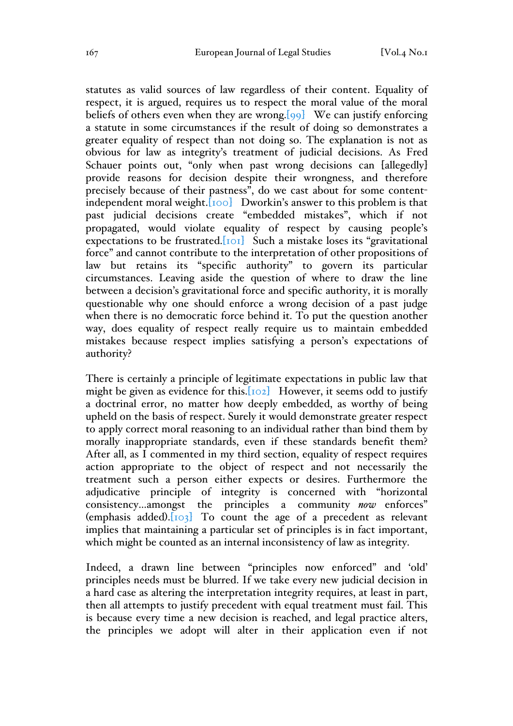statutes as valid sources of law regardless of their content. Equality of respect, it is argued, requires us to respect the moral value of the moral beliefs of others even when they are wrong.[99] We can justify enforcing a statute in some circumstances if the result of doing so demonstrates a greater equality of respect than not doing so. The explanation is not as obvious for law as integrity's treatment of judicial decisions. As Fred Schauer points out, "only when past wrong decisions can [allegedly] provide reasons for decision despite their wrongness, and therefore precisely because of their pastness", do we cast about for some contentindependent moral weight.[100] Dworkin's answer to this problem is that past judicial decisions create "embedded mistakes", which if not propagated, would violate equality of respect by causing people's expectations to be frustrated. [101] Such a mistake loses its "gravitational force" and cannot contribute to the interpretation of other propositions of law but retains its "specific authority" to govern its particular circumstances. Leaving aside the question of where to draw the line between a decision's gravitational force and specific authority, it is morally questionable why one should enforce a wrong decision of a past judge when there is no democratic force behind it. To put the question another way, does equality of respect really require us to maintain embedded mistakes because respect implies satisfying a person's expectations of authority?

There is certainly a principle of legitimate expectations in public law that might be given as evidence for this.  $[102]$  However, it seems odd to justify a doctrinal error, no matter how deeply embedded, as worthy of being upheld on the basis of respect. Surely it would demonstrate greater respect to apply correct moral reasoning to an individual rather than bind them by morally inappropriate standards, even if these standards benefit them? After all, as I commented in my third section, equality of respect requires action appropriate to the object of respect and not necessarily the treatment such a person either expects or desires. Furthermore the adjudicative principle of integrity is concerned with "horizontal consistency…amongst the principles a community *now* enforces"  $(emphasis added).$  To count the age of a precedent as relevant implies that maintaining a particular set of principles is in fact important, which might be counted as an internal inconsistency of law as integrity.

Indeed, a drawn line between "principles now enforced" and 'old' principles needs must be blurred. If we take every new judicial decision in a hard case as altering the interpretation integrity requires, at least in part, then all attempts to justify precedent with equal treatment must fail. This is because every time a new decision is reached, and legal practice alters, the principles we adopt will alter in their application even if not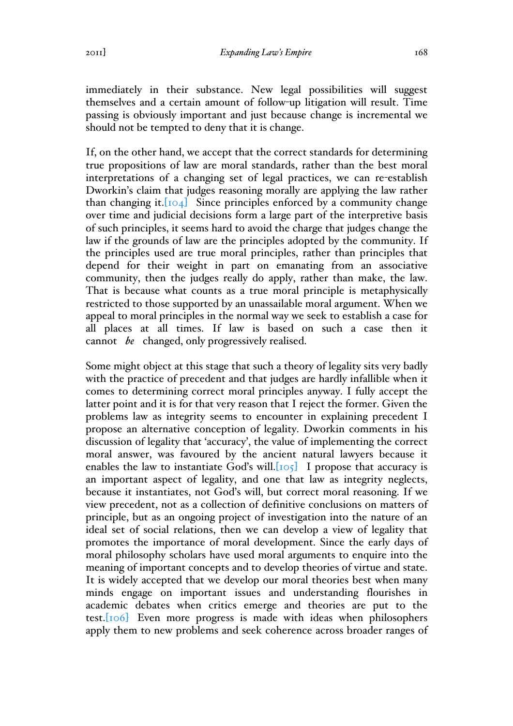immediately in their substance. New legal possibilities will suggest themselves and a certain amount of follow-up litigation will result. Time passing is obviously important and just because change is incremental we should not be tempted to deny that it is change.

If, on the other hand, we accept that the correct standards for determining true propositions of law are moral standards, rather than the best moral interpretations of a changing set of legal practices, we can re-establish Dworkin's claim that judges reasoning morally are applying the law rather than changing it.  $[104]$  Since principles enforced by a community change over time and judicial decisions form a large part of the interpretive basis of such principles, it seems hard to avoid the charge that judges change the law if the grounds of law are the principles adopted by the community. If the principles used are true moral principles, rather than principles that depend for their weight in part on emanating from an associative community, then the judges really do apply, rather than make, the law. That is because what counts as a true moral principle is metaphysically restricted to those supported by an unassailable moral argument. When we appeal to moral principles in the normal way we seek to establish a case for all places at all times. If law is based on such a case then it cannot *be* changed, only progressively realised.

Some might object at this stage that such a theory of legality sits very badly with the practice of precedent and that judges are hardly infallible when it comes to determining correct moral principles anyway. I fully accept the latter point and it is for that very reason that I reject the former. Given the problems law as integrity seems to encounter in explaining precedent I propose an alternative conception of legality. Dworkin comments in his discussion of legality that 'accuracy', the value of implementing the correct moral answer, was favoured by the ancient natural lawyers because it enables the law to instantiate God's will.  $[105]$  I propose that accuracy is an important aspect of legality, and one that law as integrity neglects, because it instantiates, not God's will, but correct moral reasoning. If we view precedent, not as a collection of definitive conclusions on matters of principle, but as an ongoing project of investigation into the nature of an ideal set of social relations, then we can develop a view of legality that promotes the importance of moral development. Since the early days of moral philosophy scholars have used moral arguments to enquire into the meaning of important concepts and to develop theories of virtue and state. It is widely accepted that we develop our moral theories best when many minds engage on important issues and understanding flourishes in academic debates when critics emerge and theories are put to the test.[106] Even more progress is made with ideas when philosophers apply them to new problems and seek coherence across broader ranges of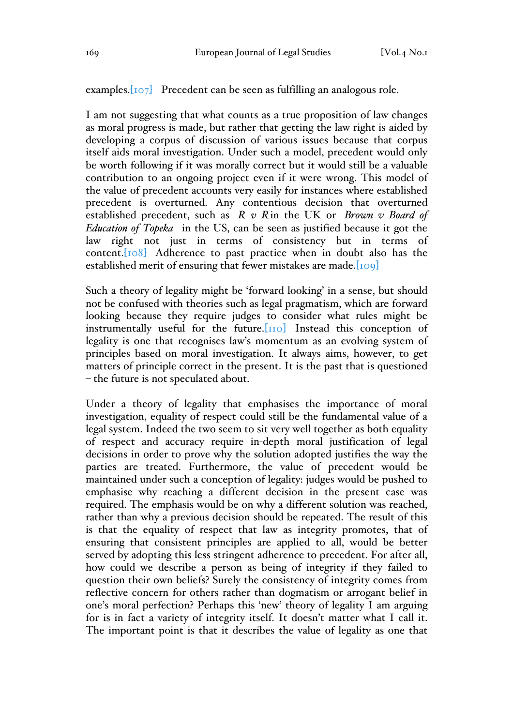examples. $[107]$  Precedent can be seen as fulfilling an analogous role.

I am not suggesting that what counts as a true proposition of law changes as moral progress is made, but rather that getting the law right is aided by developing a corpus of discussion of various issues because that corpus itself aids moral investigation. Under such a model, precedent would only be worth following if it was morally correct but it would still be a valuable contribution to an ongoing project even if it were wrong. This model of the value of precedent accounts very easily for instances where established precedent is overturned. Any contentious decision that overturned established precedent, such as *R v R*in the UK or *Brown v Board of Education of Topeka* in the US, can be seen as justified because it got the law right not just in terms of consistency but in terms of content.[108] Adherence to past practice when in doubt also has the established merit of ensuring that fewer mistakes are made.[109]

Such a theory of legality might be 'forward looking' in a sense, but should not be confused with theories such as legal pragmatism, which are forward looking because they require judges to consider what rules might be instrumentally useful for the future.[110] Instead this conception of legality is one that recognises law's momentum as an evolving system of principles based on moral investigation. It always aims, however, to get matters of principle correct in the present. It is the past that is questioned – the future is not speculated about.

Under a theory of legality that emphasises the importance of moral investigation, equality of respect could still be the fundamental value of a legal system. Indeed the two seem to sit very well together as both equality of respect and accuracy require in-depth moral justification of legal decisions in order to prove why the solution adopted justifies the way the parties are treated. Furthermore, the value of precedent would be maintained under such a conception of legality: judges would be pushed to emphasise why reaching a different decision in the present case was required. The emphasis would be on why a different solution was reached, rather than why a previous decision should be repeated. The result of this is that the equality of respect that law as integrity promotes, that of ensuring that consistent principles are applied to all, would be better served by adopting this less stringent adherence to precedent. For after all, how could we describe a person as being of integrity if they failed to question their own beliefs? Surely the consistency of integrity comes from reflective concern for others rather than dogmatism or arrogant belief in one's moral perfection? Perhaps this 'new' theory of legality I am arguing for is in fact a variety of integrity itself. It doesn't matter what I call it. The important point is that it describes the value of legality as one that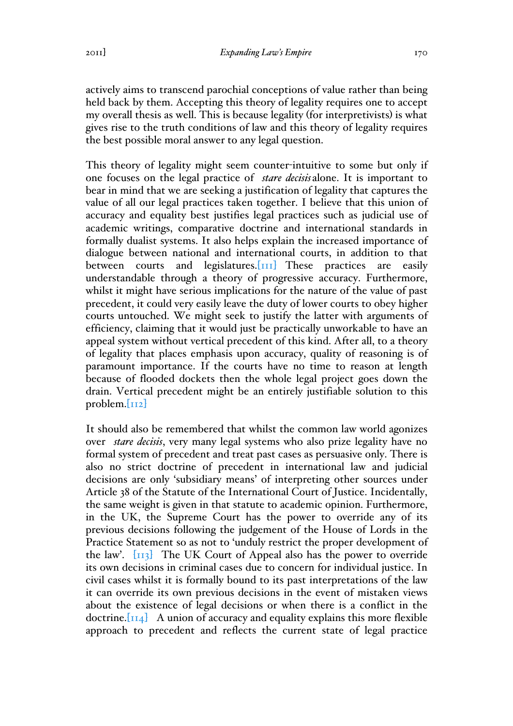actively aims to transcend parochial conceptions of value rather than being held back by them. Accepting this theory of legality requires one to accept my overall thesis as well. This is because legality (for interpretivists) is what gives rise to the truth conditions of law and this theory of legality requires the best possible moral answer to any legal question.

This theory of legality might seem counter-intuitive to some but only if one focuses on the legal practice of *stare decisis*alone. It is important to bear in mind that we are seeking a justification of legality that captures the value of all our legal practices taken together. I believe that this union of accuracy and equality best justifies legal practices such as judicial use of academic writings, comparative doctrine and international standards in formally dualist systems. It also helps explain the increased importance of dialogue between national and international courts, in addition to that between courts and legislatures. [111] These practices are easily understandable through a theory of progressive accuracy. Furthermore, whilst it might have serious implications for the nature of the value of past precedent, it could very easily leave the duty of lower courts to obey higher courts untouched. We might seek to justify the latter with arguments of efficiency, claiming that it would just be practically unworkable to have an appeal system without vertical precedent of this kind. After all, to a theory of legality that places emphasis upon accuracy, quality of reasoning is of paramount importance. If the courts have no time to reason at length because of flooded dockets then the whole legal project goes down the drain. Vertical precedent might be an entirely justifiable solution to this problem.[112]

It should also be remembered that whilst the common law world agonizes over *stare decisis*, very many legal systems who also prize legality have no formal system of precedent and treat past cases as persuasive only. There is also no strict doctrine of precedent in international law and judicial decisions are only 'subsidiary means' of interpreting other sources under Article 38 of the Statute of the International Court of Justice. Incidentally, the same weight is given in that statute to academic opinion. Furthermore, in the UK, the Supreme Court has the power to override any of its previous decisions following the judgement of the House of Lords in the Practice Statement so as not to 'unduly restrict the proper development of the law'. [113] The UK Court of Appeal also has the power to override its own decisions in criminal cases due to concern for individual justice. In civil cases whilst it is formally bound to its past interpretations of the law it can override its own previous decisions in the event of mistaken views about the existence of legal decisions or when there is a conflict in the doctrine.  $\begin{bmatrix} 1 & 1 & 1 \\ 1 & 1 & 4 \end{bmatrix}$  A union of accuracy and equality explains this more flexible approach to precedent and reflects the current state of legal practice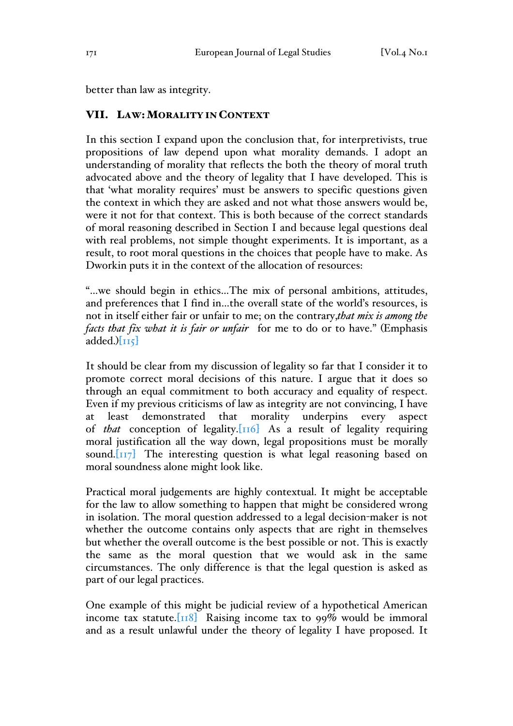better than law as integrity.

## VII. LAW:MORALITY IN CONTEXT

In this section I expand upon the conclusion that, for interpretivists, true propositions of law depend upon what morality demands. I adopt an understanding of morality that reflects the both the theory of moral truth advocated above and the theory of legality that I have developed. This is that 'what morality requires' must be answers to specific questions given the context in which they are asked and not what those answers would be, were it not for that context. This is both because of the correct standards of moral reasoning described in Section I and because legal questions deal with real problems, not simple thought experiments. It is important, as a result, to root moral questions in the choices that people have to make. As Dworkin puts it in the context of the allocation of resources:

"…we should begin in ethics…The mix of personal ambitions, attitudes, and preferences that I find in…the overall state of the world's resources, is not in itself either fair or unfair to me; on the contrary,*that mix is among the facts that fix what it is fair or unfair* for me to do or to have." (Emphasis added.) $\left[\text{II5}\right]$ 

It should be clear from my discussion of legality so far that I consider it to promote correct moral decisions of this nature. I argue that it does so through an equal commitment to both accuracy and equality of respect. Even if my previous criticisms of law as integrity are not convincing, I have at least demonstrated that morality underpins every aspect of *that* conception of legality.[116] As a result of legality requiring moral justification all the way down, legal propositions must be morally sound. $\left[\frac{117}{7}\right]$  The interesting question is what legal reasoning based on moral soundness alone might look like.

Practical moral judgements are highly contextual. It might be acceptable for the law to allow something to happen that might be considered wrong in isolation. The moral question addressed to a legal decision-maker is not whether the outcome contains only aspects that are right in themselves but whether the overall outcome is the best possible or not. This is exactly the same as the moral question that we would ask in the same circumstances. The only difference is that the legal question is asked as part of our legal practices.

One example of this might be judicial review of a hypothetical American income tax statute.  $\begin{bmatrix} 118 \\ 18 \end{bmatrix}$  Raising income tax to 99% would be immoral and as a result unlawful under the theory of legality I have proposed. It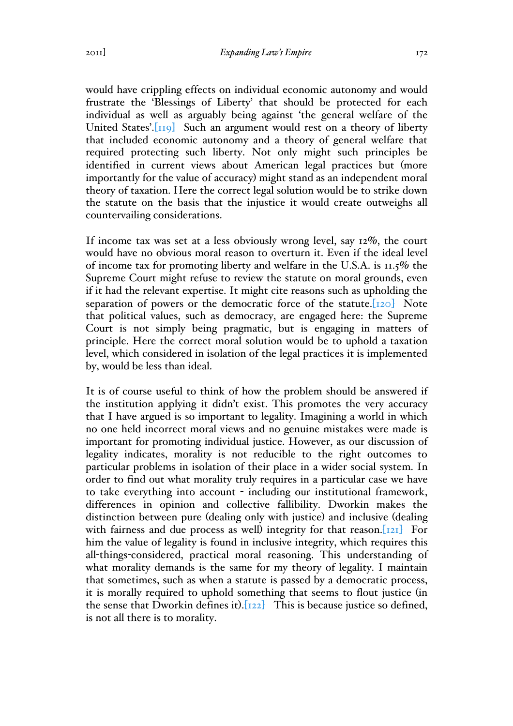would have crippling effects on individual economic autonomy and would frustrate the 'Blessings of Liberty' that should be protected for each individual as well as arguably being against 'the general welfare of the United States'.[119] Such an argument would rest on a theory of liberty that included economic autonomy and a theory of general welfare that required protecting such liberty. Not only might such principles be identified in current views about American legal practices but (more importantly for the value of accuracy) might stand as an independent moral theory of taxation. Here the correct legal solution would be to strike down the statute on the basis that the injustice it would create outweighs all countervailing considerations.

If income tax was set at a less obviously wrong level, say 12%, the court would have no obvious moral reason to overturn it. Even if the ideal level of income tax for promoting liberty and welfare in the U.S.A. is 11.5% the Supreme Court might refuse to review the statute on moral grounds, even if it had the relevant expertise. It might cite reasons such as upholding the separation of powers or the democratic force of the statute. [120] Note that political values, such as democracy, are engaged here: the Supreme Court is not simply being pragmatic, but is engaging in matters of principle. Here the correct moral solution would be to uphold a taxation level, which considered in isolation of the legal practices it is implemented by, would be less than ideal.

It is of course useful to think of how the problem should be answered if the institution applying it didn't exist. This promotes the very accuracy that I have argued is so important to legality. Imagining a world in which no one held incorrect moral views and no genuine mistakes were made is important for promoting individual justice. However, as our discussion of legality indicates, morality is not reducible to the right outcomes to particular problems in isolation of their place in a wider social system. In order to find out what morality truly requires in a particular case we have to take everything into account - including our institutional framework, differences in opinion and collective fallibility. Dworkin makes the distinction between pure (dealing only with justice) and inclusive (dealing with fairness and due process as well) integrity for that reason.  $\begin{bmatrix} 1 & 2 & 1 \end{bmatrix}$  For him the value of legality is found in inclusive integrity, which requires this all-things-considered, practical moral reasoning. This understanding of what morality demands is the same for my theory of legality. I maintain that sometimes, such as when a statute is passed by a democratic process, it is morally required to uphold something that seems to flout justice (in the sense that Dworkin defines it). $[122]$  This is because justice so defined, is not all there is to morality.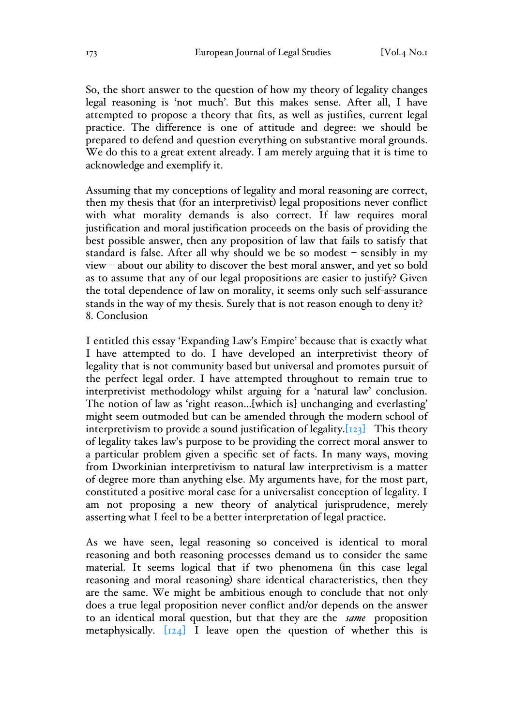So, the short answer to the question of how my theory of legality changes legal reasoning is 'not much'. But this makes sense. After all, I have attempted to propose a theory that fits, as well as justifies, current legal practice. The difference is one of attitude and degree: we should be prepared to defend and question everything on substantive moral grounds. We do this to a great extent already. I am merely arguing that it is time to acknowledge and exemplify it.

Assuming that my conceptions of legality and moral reasoning are correct, then my thesis that (for an interpretivist) legal propositions never conflict with what morality demands is also correct. If law requires moral justification and moral justification proceeds on the basis of providing the best possible answer, then any proposition of law that fails to satisfy that standard is false. After all why should we be so modest – sensibly in my view – about our ability to discover the best moral answer, and yet so bold as to assume that any of our legal propositions are easier to justify? Given the total dependence of law on morality, it seems only such self-assurance stands in the way of my thesis. Surely that is not reason enough to deny it? 8. Conclusion

I entitled this essay 'Expanding Law's Empire' because that is exactly what I have attempted to do. I have developed an interpretivist theory of legality that is not community based but universal and promotes pursuit of the perfect legal order. I have attempted throughout to remain true to interpretivist methodology whilst arguing for a 'natural law' conclusion. The notion of law as 'right reason...[which is] unchanging and everlasting' might seem outmoded but can be amended through the modern school of interpretivism to provide a sound justification of legality.  $\begin{bmatrix} 1 & 2 & 3 \end{bmatrix}$  This theory of legality takes law's purpose to be providing the correct moral answer to a particular problem given a specific set of facts. In many ways, moving from Dworkinian interpretivism to natural law interpretivism is a matter of degree more than anything else. My arguments have, for the most part, constituted a positive moral case for a universalist conception of legality. I am not proposing a new theory of analytical jurisprudence, merely asserting what I feel to be a better interpretation of legal practice.

As we have seen, legal reasoning so conceived is identical to moral reasoning and both reasoning processes demand us to consider the same material. It seems logical that if two phenomena (in this case legal reasoning and moral reasoning) share identical characteristics, then they are the same. We might be ambitious enough to conclude that not only does a true legal proposition never conflict and/or depends on the answer to an identical moral question, but that they are the *same* proposition metaphysically.  $[i24]$  I leave open the question of whether this is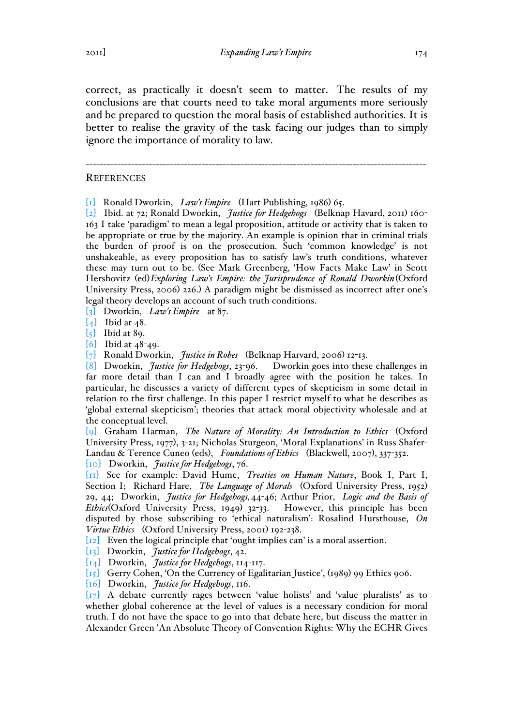correct, as practically it doesn't seem to matter. The results of my conclusions are that courts need to take moral arguments more seriously and be prepared to question the moral basis of established authorities. It is better to realise the gravity of the task facing our judges than to simply ignore the importance of morality to law.

-------------------------------------------------------------------------------------------------

#### **REFERENCES**

[1] Ronald Dworkin, *Law's Empire* (Hart Publishing, 1986) 65.

[2] Ibid. at 72; Ronald Dworkin, *Justice for Hedgehogs* (Belknap Havard, 2011) 160- 163 I take 'paradigm' to mean a legal proposition, attitude or activity that is taken to be appropriate or true by the majority. An example is opinion that in criminal trials the burden of proof is on the prosecution. Such 'common knowledge' is not unshakeable, as every proposition has to satisfy law's truth conditions, whatever these may turn out to be. (See Mark Greenberg, 'How Facts Make Law' in Scott Hershovitz (ed)*Exploring Law's Empire: the Jurisprudence of Ronald Dworkin*(Oxford University Press, 2006) 226.) A paradigm might be dismissed as incorrect after one's legal theory develops an account of such truth conditions.

[3] Dworkin, *Law's Empire* at 87.

 $[4]$  Ibid at 48.

[5] Ibid at 89.

[6] Ibid at 48-49.

[7] Ronald Dworkin, *Justice in Robes* (Belknap Harvard, 2006) 12-13.

[8] Dworkin, *Justice for Hedgehogs*, 23-96. Dworkin goes into these challenges in far more detail than I can and I broadly agree with the position he takes. In particular, he discusses a variety of different types of skepticism in some detail in relation to the first challenge. In this paper I restrict myself to what he describes as 'global external skepticism'; theories that attack moral objectivity wholesale and at the conceptual level.

[9] Graham Harman, *The Nature of Morality: An Introduction to Ethics* (Oxford University Press, 1977), 3-21; Nicholas Sturgeon, 'Moral Explanations' in Russ Shafer-Landau & Terence Cuneo (eds), *Foundations of Ethics* (Blackwell, 2007), 337-352. [10] Dworkin, *Justice for Hedgehogs*, 76.

[11] See for example: David Hume, *Treaties on Human Nature*, Book I, Part I, Section I; Richard Hare, *The Language of Morals* (Oxford University Press, 1952) 29, 44; Dworkin, *Justice for Hedgehogs,*44-46; Arthur Prior, *Logic and the Basis of Ethics*(Oxford University Press, 1949) 32-33. However, this principle has been disputed by those subscribing to 'ethical naturalism': Rosalind Hursthouse, *On Virtue Ethics* (Oxford University Press, 2001) 192-238.

[12] Even the logical principle that 'ought implies can' is a moral assertion.

[13] Dworkin, *Justice for Hedgehogs*, 42.

[14] Dworkin, *Justice for Hedgehogs*, 114-117.

 $\left[15\right]$  Gerry Cohen, 'On the Currency of Egalitarian Justice', (1989) 99 Ethics 906.

[16] Dworkin, *Justice for Hedgehogs*, 116.

[17] A debate currently rages between 'value holists' and 'value pluralists' as to whether global coherence at the level of values is a necessary condition for moral truth. I do not have the space to go into that debate here, but discuss the matter in Alexander Green 'An Absolute Theory of Convention Rights: Why the ECHR Gives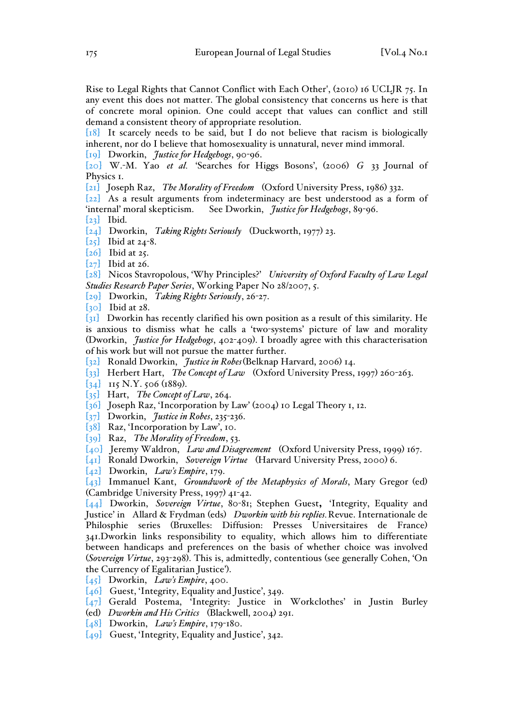Rise to Legal Rights that Cannot Conflict with Each Other', (2010) 16 UCLJR 75. In any event this does not matter. The global consistency that concerns us here is that of concrete moral opinion. One could accept that values can conflict and still demand a consistent theory of appropriate resolution.

[18] It scarcely needs to be said, but I do not believe that racism is biologically inherent, nor do I believe that homosexuality is unnatural, never mind immoral.

- [19] Dworkin, *Justice for Hedgehogs*, 90-96.
- [20] W.-M. Yao *et al.* 'Searches for Higgs Bosons', (2006) *G* 33 Journal of Physics 1.

[21] Joseph Raz, *The Morality of Freedom* (Oxford University Press, 1986) 332.

[22] As a result arguments from indeterminacy are best understood as a form of 'internal' moral skepticism. See Dworkin, *Justice for Hedgehogs*, 89-96.

- $[23]$  Ibid.
- [24] Dworkin, *Taking Rights Seriously* (Duckworth, 1977) 23.
- $[25]$  Ibid at  $24-8$ .
- [26] Ibid at 25.
- [27] Ibid at 26.

[28] Nicos Stavropolous, 'Why Principles?' *University of Oxford Faculty of Law Legal Studies Research Paper Series*, Working Paper No 28/2007, 5.

[29] Dworkin, *Taking Rights Seriously*, 26-27.

[30] Ibid at 28.

[31] Dworkin has recently clarified his own position as a result of this similarity. He is anxious to dismiss what he calls a 'two-systems' picture of law and morality (Dworkin, *Justice for Hedgehogs*, 402-409). I broadly agree with this characterisation of his work but will not pursue the matter further.

[32] Ronald Dworkin, *Justice in Robes*(Belknap Harvard, 2006) 14.

- [33] Herbert Hart, *The Concept of Law* (Oxford University Press, 1997) 260-263.
- $[34]$  115 N.Y. 506 (1889).
- [35] Hart, *The Concept of Law*, 264.
- [36] Joseph Raz, 'Incorporation by Law' (2004) 10 Legal Theory 1, 12.
- [37] Dworkin, *Justice in Robes*, 235-236.
- [38] Raz, 'Incorporation by Law', 10.
- [39] Raz, *The Morality of Freedom*, 53.
- [40] Jeremy Waldron, *Law and Disagreement* (Oxford University Press, 1999) 167.

[41] Ronald Dworkin, *Sovereign Virtue* (Harvard University Press, 2000) 6.

[42] Dworkin, *Law's Empire*, 179.

[43] Immanuel Kant, *Groundwork of the Metaphysics of Morals*, Mary Gregor (ed) (Cambridge University Press, 1997) 41-42.

[44] Dworkin, *Sovereign Virtue*, 80-81; Stephen Guest, 'Integrity, Equality and Justice' in Allard & Frydman (eds) *Dworkin with his replies.*Revue. Internationale de Philosphie series (Bruxelles: Diffusion: Presses Universitaires de France) 341.Dworkin links responsibility to equality, which allows him to differentiate between handicaps and preferences on the basis of whether choice was involved (*Sovereign Virtue*, 293-298). This is, admittedly, contentious (see generally Cohen, 'On the Currency of Egalitarian Justice').

- [45] Dworkin, *Law's Empire*, 400.
- [46] Guest, 'Integrity, Equality and Justice', 349.
- [47] Gerald Postema, 'Integrity: Justice in Workclothes' in Justin Burley
- (ed) *Dworkin and His Critics* (Blackwell, 2004) 291.
- [48] Dworkin, *Law's Empire*, 179-180.
- [49] Guest, 'Integrity, Equality and Justice', 342.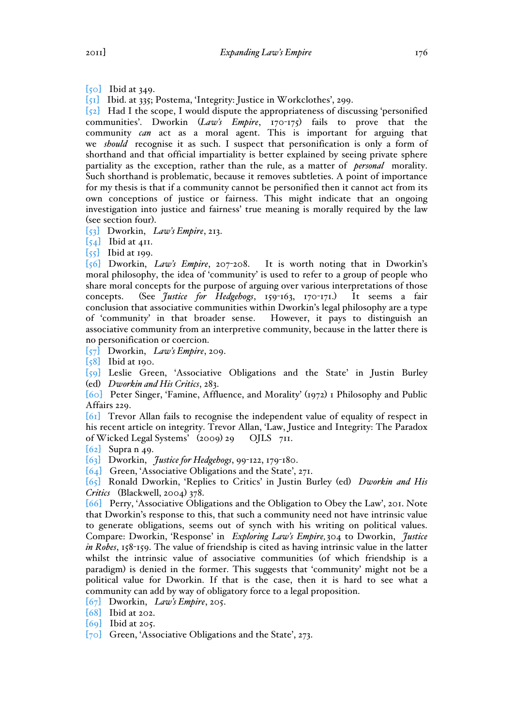$\lbrack$ <sub>50</sub>] Ibid at 349.

[51] Ibid. at 335; Postema, 'Integrity: Justice in Workclothes', 299.

 $\lceil 52 \rceil$  Had I the scope, I would dispute the appropriateness of discussing 'personified communities'. Dworkin (*Law's Empire*, 170-175) fails to prove that the community *can* act as a moral agent. This is important for arguing that we *should* recognise it as such. I suspect that personification is only a form of shorthand and that official impartiality is better explained by seeing private sphere partiality as the exception, rather than the rule, as a matter of *personal* morality. Such shorthand is problematic, because it removes subtleties. A point of importance for my thesis is that if a community cannot be personified then it cannot act from its own conceptions of justice or fairness. This might indicate that an ongoing investigation into justice and fairness' true meaning is morally required by the law (see section four).

[53] Dworkin, *Law's Empire*, 213.

 $\overline{54}$  Ibid at 411.

[55] Ibid at 199.

[56] Dworkin, *Law's Empire*, 207-208. It is worth noting that in Dworkin's moral philosophy, the idea of 'community' is used to refer to a group of people who share moral concepts for the purpose of arguing over various interpretations of those concepts. (See *Justice for Hedgehogs*, 159-163, 170-171.) It seems a fair conclusion that associative communities within Dworkin's legal philosophy are a type of 'community' in that broader sense. However, it pays to distinguish an associative community from an interpretive community, because in the latter there is no personification or coercion.

[57] Dworkin, *Law's Empire*, 209.

[58] Ibid at 190.

[59] Leslie Green, 'Associative Obligations and the State' in Justin Burley (ed) *Dworkin and His Critics*, 283.

[60] Peter Singer, 'Famine, Affluence, and Morality' (1972) 1 Philosophy and Public Affairs 229.

[61] Trevor Allan fails to recognise the independent value of equality of respect in his recent article on integrity. Trevor Allan, 'Law, Justice and Integrity: The Paradox of Wicked Legal Systems' (2009) 29 OJLS 711.

[62] Supra n 49.

[63] Dworkin, *Justice for Hedgehogs*, 99-122, 179-180.

[64] Green, 'Associative Obligations and the State', 271.

[65] Ronald Dworkin, 'Replies to Critics' in Justin Burley (ed) *Dworkin and His Critics* (Blackwell, 2004) 378.

[66] Perry, 'Associative Obligations and the Obligation to Obey the Law', 201. Note that Dworkin's response to this, that such a community need not have intrinsic value to generate obligations, seems out of synch with his writing on political values. Compare: Dworkin, 'Response' in *Exploring Law's Empire,* 304 to Dworkin, *Justice in Robes*, 158-159. The value of friendship is cited as having intrinsic value in the latter whilst the intrinsic value of associative communities (of which friendship is a paradigm) is denied in the former. This suggests that 'community' might not be a political value for Dworkin. If that is the case, then it is hard to see what a community can add by way of obligatory force to a legal proposition.

[67] Dworkin, *Law's Empire*, 205.

[68] Ibid at 202.

[69] Ibid at 205.

[70] Green, 'Associative Obligations and the State', 273.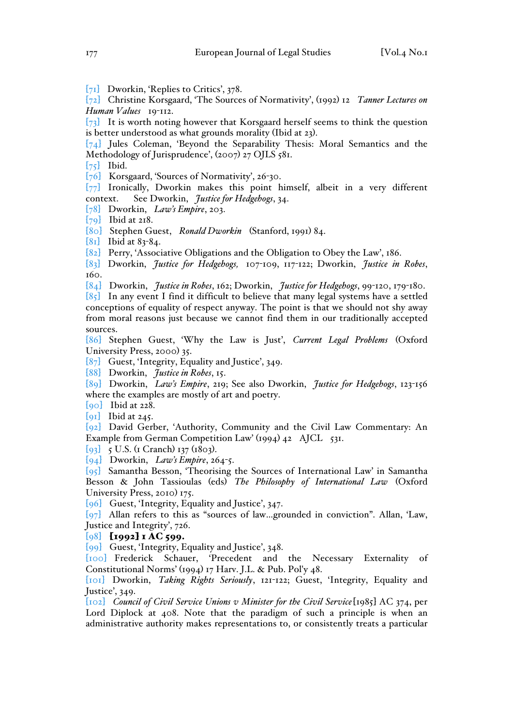[71] Dworkin, 'Replies to Critics', 378.

[72] Christine Korsgaard, 'The Sources of Normativity', (1992) 12 *Tanner Lectures on Human Values* 19-112.

[73] It is worth noting however that Korsgaard herself seems to think the question is better understood as what grounds morality (Ibid at 23).

[74] Jules Coleman, 'Beyond the Separability Thesis: Moral Semantics and the Methodology of Jurisprudence', (2007) 27 OJLS 581.

 $[75]$  Ibid.

[76] Korsgaard, 'Sources of Normativity', 26-30.

[77] Ironically, Dworkin makes this point himself, albeit in a very different context. See Dworkin, *Justice for Hedgehogs*, 34.

[78] Dworkin, *Law's Empire*, 203.

[79] Ibid at 218.

[80] Stephen Guest, *Ronald Dworkin* (Stanford, 1991) 84.

[81] Ibid at 83-84.

[82] Perry, 'Associative Obligations and the Obligation to Obey the Law', 186.

[83] Dworkin, *Justice for Hedgehogs,* 107-109, 117-122; Dworkin, *Justice in Robes*, 160.

[84] Dworkin, *Justice in Robes*, 162; Dworkin, *Justice for Hedgehogs*, 99-120, 179-180.

 $[85]$  In any event I find it difficult to believe that many legal systems have a settled conceptions of equality of respect anyway. The point is that we should not shy away from moral reasons just because we cannot find them in our traditionally accepted sources.

[86] Stephen Guest, 'Why the Law is Just', *Current Legal Problems* (Oxford University Press, 2000) 35.

[87] Guest, 'Integrity, Equality and Justice', 349.

[88] Dworkin, *Justice in Robes*, 15.

[89] Dworkin, *Law's Empire*, 219; See also Dworkin, *Justice for Hedgehogs*, 123-156 where the examples are mostly of art and poetry.

[90] Ibid at 228.

[91] Ibid at 245.

[92] David Gerber, 'Authority, Community and the Civil Law Commentary: An Example from German Competition Law' (1994) 42 AJCL 531.

[93]  $\overline{5}$  U.S. (1 Cranch) 137 (1803).

[94] Dworkin, *Law's Empire*, 264-5.

[95] Samantha Besson, 'Theorising the Sources of International Law' in Samantha Besson & John Tassioulas (eds) *The Philosophy of International Law* (Oxford University Press, 2010) 175.

[96] Guest, 'Integrity, Equality and Justice', 347.

[97] Allan refers to this as "sources of law…grounded in conviction". Allan, 'Law, Justice and Integrity', 726.

#### $[98]$   $[1992]$   $1$  AC 599.

[99] Guest, 'Integrity, Equality and Justice', 348.

[100] Frederick Schauer, 'Precedent and the Necessary Externality of Constitutional Norms' (1994) 17 Harv. J.L. & Pub. Pol'y 48.

[101] Dworkin, *Taking Rights Seriously*, 121-122; Guest, 'Integrity, Equality and Justice', 349.

[102] *Council of Civil Service Unions v Minister for the Civil Service*[1985] AC 374, per Lord Diplock at 408. Note that the paradigm of such a principle is when an administrative authority makes representations to, or consistently treats a particular